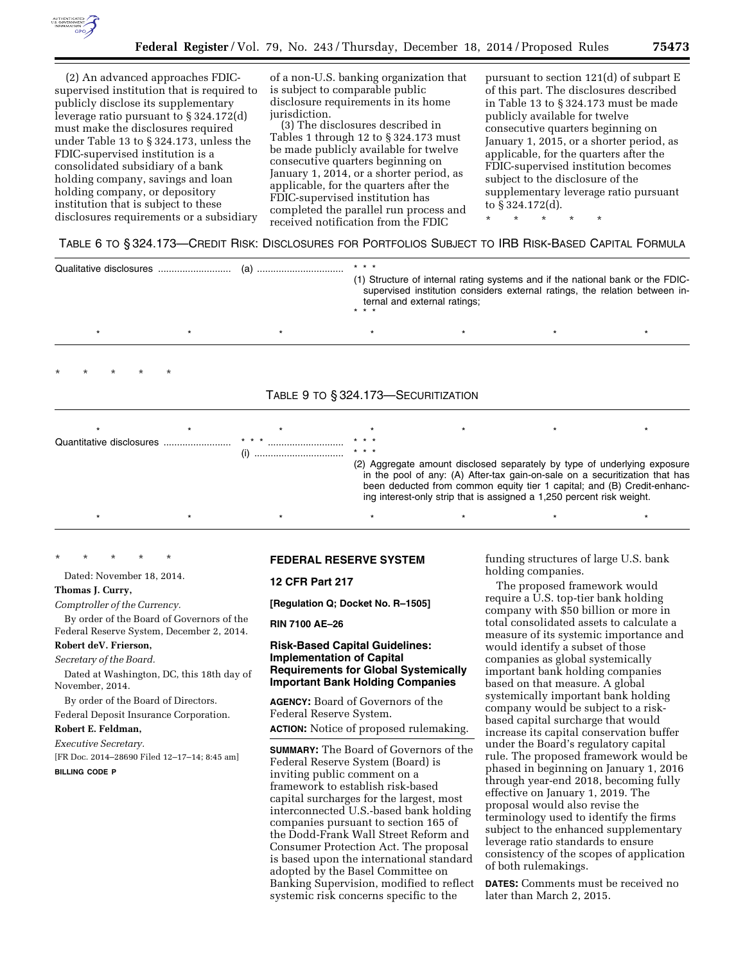

(2) An advanced approaches FDICsupervised institution that is required to publicly disclose its supplementary leverage ratio pursuant to § 324.172(d) must make the disclosures required under Table 13 to § 324.173, unless the FDIC-supervised institution is a consolidated subsidiary of a bank holding company, savings and loan holding company, or depository institution that is subject to these disclosures requirements or a subsidiary

of a non-U.S. banking organization that is subject to comparable public disclosure requirements in its home jurisdiction.

(3) The disclosures described in Tables 1 through 12 to § 324.173 must be made publicly available for twelve consecutive quarters beginning on January 1, 2014, or a shorter period, as applicable, for the quarters after the FDIC-supervised institution has completed the parallel run process and received notification from the FDIC

pursuant to section 121(d) of subpart E of this part. The disclosures described in Table 13 to § 324.173 must be made publicly available for twelve consecutive quarters beginning on January 1, 2015, or a shorter period, as applicable, for the quarters after the FDIC-supervised institution becomes subject to the disclosure of the supplementary leverage ratio pursuant to § 324.172(d).

\* \* \* \* \*

#### TABLE 6 TO § 324.173—CREDIT RISK: DISCLOSURES FOR PORTFOLIOS SUBJECT TO IRB RISK-BASED CAPITAL FORMULA

|  |                                     | $* * *$ |                                                                                                                                                                                                                                                                                                             |  |
|--|-------------------------------------|---------|-------------------------------------------------------------------------------------------------------------------------------------------------------------------------------------------------------------------------------------------------------------------------------------------------------------|--|
|  |                                     |         | (1) Structure of internal rating systems and if the national bank or the FDIC-<br>supervised institution considers external ratings, the relation between in-<br>ternal and external ratings;                                                                                                               |  |
|  | $\star$                             | $\star$ |                                                                                                                                                                                                                                                                                                             |  |
|  | TABLE 9 TO § 324.173-SECURITIZATION |         |                                                                                                                                                                                                                                                                                                             |  |
|  |                                     |         |                                                                                                                                                                                                                                                                                                             |  |
|  |                                     |         |                                                                                                                                                                                                                                                                                                             |  |
|  |                                     | * * *   |                                                                                                                                                                                                                                                                                                             |  |
|  |                                     |         | (2) Aggregate amount disclosed separately by type of underlying exposure<br>in the pool of any: (A) After-tax gain-on-sale on a securitization that has<br>been deducted from common equity tier 1 capital; and (B) Credit-enhanc-<br>ing interest-only strip that is assigned a 1,250 percent risk weight. |  |
|  |                                     |         |                                                                                                                                                                                                                                                                                                             |  |

\* \* \* \* \* Dated: November 18, 2014.

# **Thomas J. Curry,**

*Comptroller of the Currency.* 

By order of the Board of Governors of the Federal Reserve System, December 2, 2014.

# **Robert deV. Frierson,**

#### *Secretary of the Board.*

Dated at Washington, DC, this 18th day of November, 2014.

By order of the Board of Directors.

Federal Deposit Insurance Corporation.

#### **Robert E. Feldman,**

*Executive Secretary.* 

[FR Doc. 2014–28690 Filed 12–17–14; 8:45 am] **BILLING CODE P** 

# **FEDERAL RESERVE SYSTEM**

## **12 CFR Part 217**

**[Regulation Q; Docket No. R–1505]** 

**RIN 7100 AE–26** 

## **Risk-Based Capital Guidelines: Implementation of Capital Requirements for Global Systemically Important Bank Holding Companies**

**AGENCY:** Board of Governors of the Federal Reserve System.

**ACTION:** Notice of proposed rulemaking.

**SUMMARY:** The Board of Governors of the Federal Reserve System (Board) is inviting public comment on a framework to establish risk-based capital surcharges for the largest, most interconnected U.S.-based bank holding companies pursuant to section 165 of the Dodd-Frank Wall Street Reform and Consumer Protection Act. The proposal is based upon the international standard adopted by the Basel Committee on Banking Supervision, modified to reflect systemic risk concerns specific to the

funding structures of large U.S. bank holding companies.

The proposed framework would require a U.S. top-tier bank holding company with \$50 billion or more in total consolidated assets to calculate a measure of its systemic importance and would identify a subset of those companies as global systemically important bank holding companies based on that measure. A global systemically important bank holding company would be subject to a riskbased capital surcharge that would increase its capital conservation buffer under the Board's regulatory capital rule. The proposed framework would be phased in beginning on January 1, 2016 through year-end 2018, becoming fully effective on January 1, 2019. The proposal would also revise the terminology used to identify the firms subject to the enhanced supplementary leverage ratio standards to ensure consistency of the scopes of application of both rulemakings.

**DATES:** Comments must be received no later than March 2, 2015.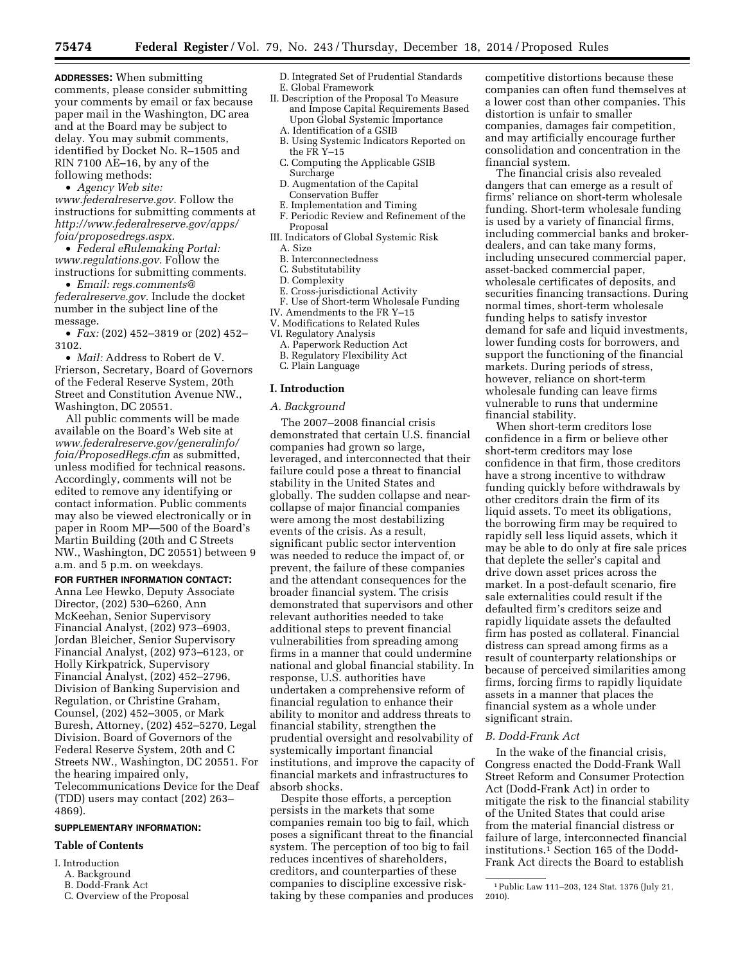**ADDRESSES:** When submitting comments, please consider submitting your comments by email or fax because paper mail in the Washington, DC area and at the Board may be subject to delay. You may submit comments, identified by Docket No. R–1505 and RIN 7100 AE–16, by any of the following methods:

• *Agency Web site:* 

*[www.federalreserve.gov.](http://www.federalreserve.gov)* Follow the instructions for submitting comments at *[http://www.federalreserve.gov/apps/](http://www.federalreserve.gov/apps/foia/proposedregs.aspx) [foia/proposedregs.aspx.](http://www.federalreserve.gov/apps/foia/proposedregs.aspx)* 

• *Federal eRulemaking Portal: [www.regulations.gov.](http://www.regulations.gov)* Follow the instructions for submitting comments.

• *Email: [regs.comments@](mailto:regs.comments@federalreserve.gov) [federalreserve.gov.](mailto:regs.comments@federalreserve.gov)* Include the docket number in the subject line of the message.

• *Fax:* (202) 452–3819 or (202) 452– 3102.

• *Mail:* Address to Robert de V. Frierson, Secretary, Board of Governors of the Federal Reserve System, 20th Street and Constitution Avenue NW., Washington, DC 20551.

All public comments will be made available on the Board's Web site at *[www.federalreserve.gov/generalinfo/](http://www.federalreserve.gov/generalinfo/foia/ProposedRegs.cfm) [foia/ProposedRegs.cfm](http://www.federalreserve.gov/generalinfo/foia/ProposedRegs.cfm)* as submitted, unless modified for technical reasons. Accordingly, comments will not be edited to remove any identifying or contact information. Public comments may also be viewed electronically or in paper in Room MP—500 of the Board's Martin Building (20th and C Streets NW., Washington, DC 20551) between 9 a.m. and 5 p.m. on weekdays.

**FOR FURTHER INFORMATION CONTACT:**  Anna Lee Hewko, Deputy Associate Director, (202) 530–6260, Ann McKeehan, Senior Supervisory Financial Analyst, (202) 973–6903, Jordan Bleicher, Senior Supervisory Financial Analyst, (202) 973–6123, or Holly Kirkpatrick, Supervisory Financial Analyst, (202) 452–2796, Division of Banking Supervision and Regulation, or Christine Graham, Counsel, (202) 452–3005, or Mark Buresh, Attorney, (202) 452–5270, Legal Division. Board of Governors of the Federal Reserve System, 20th and C Streets NW., Washington, DC 20551. For the hearing impaired only, Telecommunications Device for the Deaf (TDD) users may contact (202) 263– 4869).

#### **SUPPLEMENTARY INFORMATION:**

#### **Table of Contents**

- I. Introduction
	- A. Background
	- B. Dodd-Frank Act
	- C. Overview of the Proposal

D. Integrated Set of Prudential Standards E. Global Framework

- II. Description of the Proposal To Measure and Impose Capital Requirements Based Upon Global Systemic Importance
	- A. Identification of a GSIB B. Using Systemic Indicators Reported on
	- the FR Y–15
	- C. Computing the Applicable GSIB Surcharge D. Augmentation of the Capital
	- Conservation Buffer
	- E. Implementation and Timing
- F. Periodic Review and Refinement of the Proposal
- III. Indicators of Global Systemic Risk
	- A. Size
	- B. Interconnectedness
	- C. Substitutability
	- D. Complexity
- E. Cross-jurisdictional Activity F. Use of Short-term Wholesale Funding
- IV. Amendments to the FR Y–15
- V. Modifications to Related Rules
- VI. Regulatory Analysis
	- A. Paperwork Reduction Act
	- B. Regulatory Flexibility Act
- C. Plain Language

# **I. Introduction**

#### *A. Background*

The 2007–2008 financial crisis demonstrated that certain U.S. financial companies had grown so large, leveraged, and interconnected that their failure could pose a threat to financial stability in the United States and globally. The sudden collapse and nearcollapse of major financial companies were among the most destabilizing events of the crisis. As a result, significant public sector intervention was needed to reduce the impact of, or prevent, the failure of these companies and the attendant consequences for the broader financial system. The crisis demonstrated that supervisors and other relevant authorities needed to take additional steps to prevent financial vulnerabilities from spreading among firms in a manner that could undermine national and global financial stability. In response, U.S. authorities have undertaken a comprehensive reform of financial regulation to enhance their ability to monitor and address threats to financial stability, strengthen the prudential oversight and resolvability of systemically important financial institutions, and improve the capacity of financial markets and infrastructures to absorb shocks.

Despite those efforts, a perception persists in the markets that some companies remain too big to fail, which poses a significant threat to the financial system. The perception of too big to fail reduces incentives of shareholders, creditors, and counterparties of these companies to discipline excessive risktaking by these companies and produces competitive distortions because these companies can often fund themselves at a lower cost than other companies. This distortion is unfair to smaller companies, damages fair competition, and may artificially encourage further consolidation and concentration in the financial system.

The financial crisis also revealed dangers that can emerge as a result of firms' reliance on short-term wholesale funding. Short-term wholesale funding is used by a variety of financial firms, including commercial banks and brokerdealers, and can take many forms, including unsecured commercial paper, asset-backed commercial paper, wholesale certificates of deposits, and securities financing transactions. During normal times, short-term wholesale funding helps to satisfy investor demand for safe and liquid investments, lower funding costs for borrowers, and support the functioning of the financial markets. During periods of stress, however, reliance on short-term wholesale funding can leave firms vulnerable to runs that undermine financial stability.

When short-term creditors lose confidence in a firm or believe other short-term creditors may lose confidence in that firm, those creditors have a strong incentive to withdraw funding quickly before withdrawals by other creditors drain the firm of its liquid assets. To meet its obligations, the borrowing firm may be required to rapidly sell less liquid assets, which it may be able to do only at fire sale prices that deplete the seller's capital and drive down asset prices across the market. In a post-default scenario, fire sale externalities could result if the defaulted firm's creditors seize and rapidly liquidate assets the defaulted firm has posted as collateral. Financial distress can spread among firms as a result of counterparty relationships or because of perceived similarities among firms, forcing firms to rapidly liquidate assets in a manner that places the financial system as a whole under significant strain.

# *B. Dodd-Frank Act*

In the wake of the financial crisis, Congress enacted the Dodd-Frank Wall Street Reform and Consumer Protection Act (Dodd-Frank Act) in order to mitigate the risk to the financial stability of the United States that could arise from the material financial distress or failure of large, interconnected financial institutions.<sup>1</sup> Section 165 of the Dodd-Frank Act directs the Board to establish

<sup>1</sup>Public Law 111–203, 124 Stat. 1376 (July 21, 2010).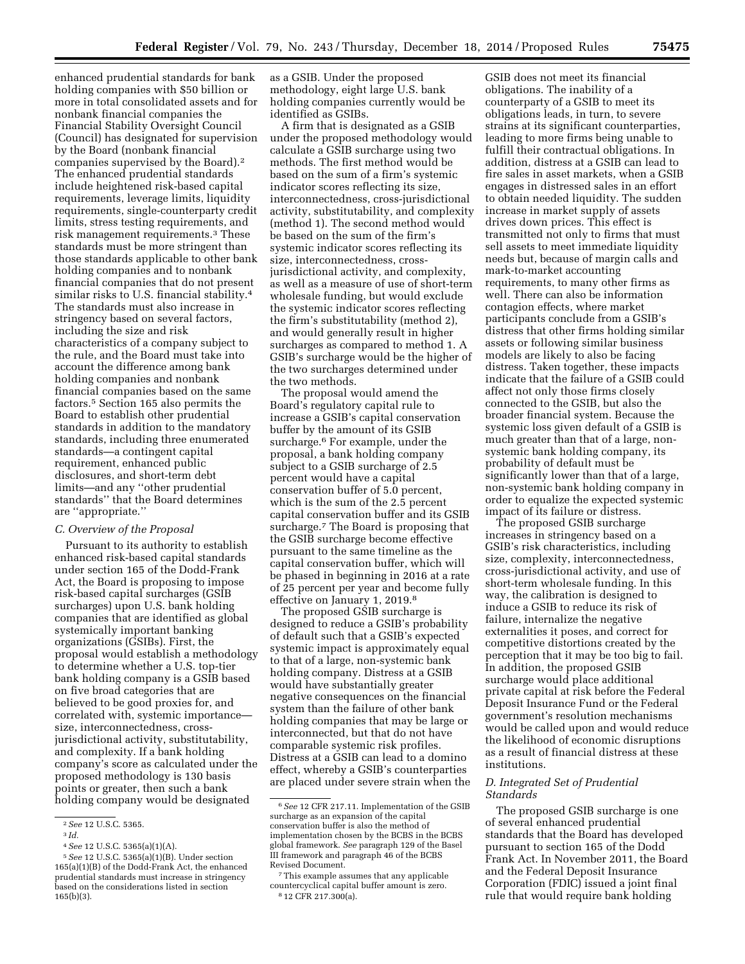enhanced prudential standards for bank holding companies with \$50 billion or more in total consolidated assets and for nonbank financial companies the Financial Stability Oversight Council (Council) has designated for supervision by the Board (nonbank financial companies supervised by the Board).2 The enhanced prudential standards include heightened risk-based capital requirements, leverage limits, liquidity requirements, single-counterparty credit limits, stress testing requirements, and risk management requirements.3 These standards must be more stringent than those standards applicable to other bank holding companies and to nonbank financial companies that do not present similar risks to U.S. financial stability.<sup>4</sup> The standards must also increase in stringency based on several factors, including the size and risk characteristics of a company subject to the rule, and the Board must take into account the difference among bank holding companies and nonbank financial companies based on the same factors.5 Section 165 also permits the Board to establish other prudential standards in addition to the mandatory standards, including three enumerated standards—a contingent capital requirement, enhanced public disclosures, and short-term debt limits—and any ''other prudential standards'' that the Board determines are ''appropriate.''

# *C. Overview of the Proposal*

Pursuant to its authority to establish enhanced risk-based capital standards under section 165 of the Dodd-Frank Act, the Board is proposing to impose risk-based capital surcharges (GSIB surcharges) upon U.S. bank holding companies that are identified as global systemically important banking organizations (GSIBs). First, the proposal would establish a methodology to determine whether a U.S. top-tier bank holding company is a GSIB based on five broad categories that are believed to be good proxies for, and correlated with, systemic importance size, interconnectedness, crossjurisdictional activity, substitutability, and complexity. If a bank holding company's score as calculated under the proposed methodology is 130 basis points or greater, then such a bank holding company would be designated

as a GSIB. Under the proposed methodology, eight large U.S. bank holding companies currently would be identified as GSIBs.

A firm that is designated as a GSIB under the proposed methodology would calculate a GSIB surcharge using two methods. The first method would be based on the sum of a firm's systemic indicator scores reflecting its size, interconnectedness, cross-jurisdictional activity, substitutability, and complexity (method 1). The second method would be based on the sum of the firm's systemic indicator scores reflecting its size, interconnectedness, crossjurisdictional activity, and complexity, as well as a measure of use of short-term wholesale funding, but would exclude the systemic indicator scores reflecting the firm's substitutability (method 2), and would generally result in higher surcharges as compared to method 1. A GSIB's surcharge would be the higher of the two surcharges determined under the two methods.

The proposal would amend the Board's regulatory capital rule to increase a GSIB's capital conservation buffer by the amount of its GSIB surcharge.6 For example, under the proposal, a bank holding company subject to a GSIB surcharge of 2.5 percent would have a capital conservation buffer of 5.0 percent, which is the sum of the 2.5 percent capital conservation buffer and its GSIB surcharge.<sup>7</sup> The Board is proposing that the GSIB surcharge become effective pursuant to the same timeline as the capital conservation buffer, which will be phased in beginning in 2016 at a rate of 25 percent per year and become fully effective on January 1, 2019.8

The proposed GSIB surcharge is designed to reduce a GSIB's probability of default such that a GSIB's expected systemic impact is approximately equal to that of a large, non-systemic bank holding company. Distress at a GSIB would have substantially greater negative consequences on the financial system than the failure of other bank holding companies that may be large or interconnected, but that do not have comparable systemic risk profiles. Distress at a GSIB can lead to a domino effect, whereby a GSIB's counterparties are placed under severe strain when the

GSIB does not meet its financial obligations. The inability of a counterparty of a GSIB to meet its obligations leads, in turn, to severe strains at its significant counterparties, leading to more firms being unable to fulfill their contractual obligations. In addition, distress at a GSIB can lead to fire sales in asset markets, when a GSIB engages in distressed sales in an effort to obtain needed liquidity. The sudden increase in market supply of assets drives down prices. This effect is transmitted not only to firms that must sell assets to meet immediate liquidity needs but, because of margin calls and mark-to-market accounting requirements, to many other firms as well. There can also be information contagion effects, where market participants conclude from a GSIB's distress that other firms holding similar assets or following similar business models are likely to also be facing distress. Taken together, these impacts indicate that the failure of a GSIB could affect not only those firms closely connected to the GSIB, but also the broader financial system. Because the systemic loss given default of a GSIB is much greater than that of a large, nonsystemic bank holding company, its probability of default must be significantly lower than that of a large, non-systemic bank holding company in order to equalize the expected systemic impact of its failure or distress.

The proposed GSIB surcharge increases in stringency based on a GSIB's risk characteristics, including size, complexity, interconnectedness, cross-jurisdictional activity, and use of short-term wholesale funding. In this way, the calibration is designed to induce a GSIB to reduce its risk of failure, internalize the negative externalities it poses, and correct for competitive distortions created by the perception that it may be too big to fail. In addition, the proposed GSIB surcharge would place additional private capital at risk before the Federal Deposit Insurance Fund or the Federal government's resolution mechanisms would be called upon and would reduce the likelihood of economic disruptions as a result of financial distress at these institutions.

# *D. Integrated Set of Prudential Standards*

The proposed GSIB surcharge is one of several enhanced prudential standards that the Board has developed pursuant to section 165 of the Dodd Frank Act. In November 2011, the Board and the Federal Deposit Insurance Corporation (FDIC) issued a joint final rule that would require bank holding

<sup>2</sup>*See* 12 U.S.C. 5365.

<sup>3</sup> *Id.* 

<sup>4</sup>*See* 12 U.S.C. 5365(a)(1)(A).

<sup>5</sup>*See* 12 U.S.C. 5365(a)(1)(B). Under section 165(a)(1)(B) of the Dodd-Frank Act, the enhanced prudential standards must increase in stringency based on the considerations listed in section 165(b)(3).

<sup>6</sup>*See* 12 CFR 217.11. Implementation of the GSIB surcharge as an expansion of the capital conservation buffer is also the method of implementation chosen by the BCBS in the BCBS global framework. *See* paragraph 129 of the Basel III framework and paragraph 46 of the BCBS Revised Document.

<sup>7</sup>This example assumes that any applicable countercyclical capital buffer amount is zero. 8 12 CFR 217.300(a).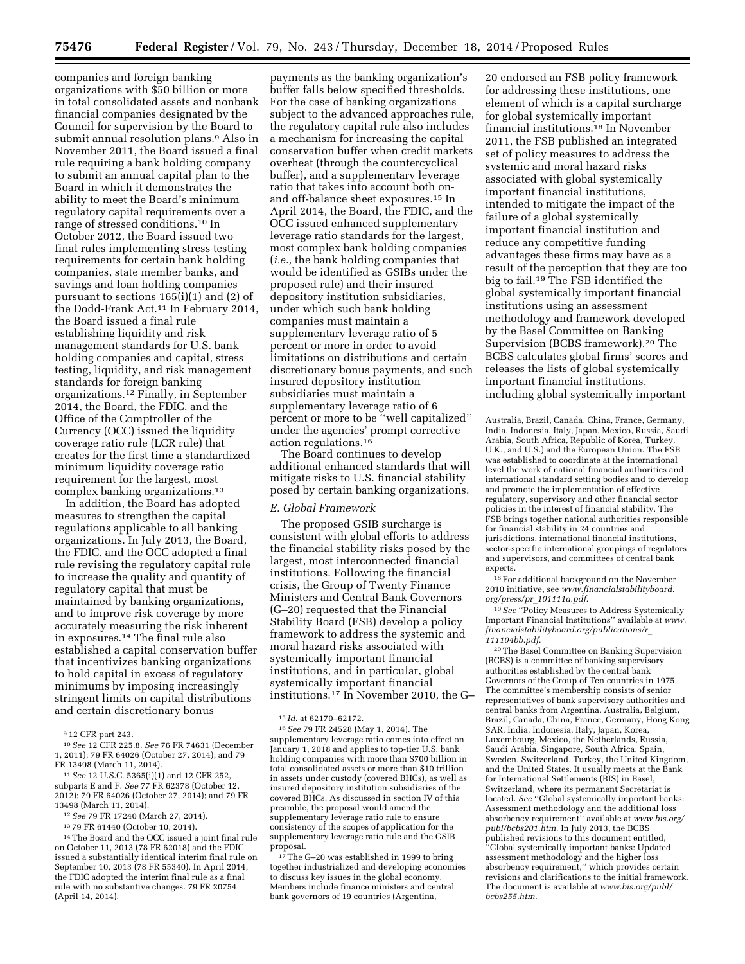companies and foreign banking organizations with \$50 billion or more in total consolidated assets and nonbank financial companies designated by the Council for supervision by the Board to submit annual resolution plans.9 Also in November 2011, the Board issued a final rule requiring a bank holding company to submit an annual capital plan to the Board in which it demonstrates the ability to meet the Board's minimum regulatory capital requirements over a range of stressed conditions.10 In October 2012, the Board issued two final rules implementing stress testing requirements for certain bank holding companies, state member banks, and savings and loan holding companies pursuant to sections 165(i)(1) and (2) of the Dodd-Frank Act.11 In February 2014, the Board issued a final rule establishing liquidity and risk management standards for U.S. bank holding companies and capital, stress testing, liquidity, and risk management standards for foreign banking organizations.12 Finally, in September 2014, the Board, the FDIC, and the Office of the Comptroller of the Currency (OCC) issued the liquidity coverage ratio rule (LCR rule) that creates for the first time a standardized minimum liquidity coverage ratio requirement for the largest, most complex banking organizations.13

In addition, the Board has adopted measures to strengthen the capital regulations applicable to all banking organizations. In July 2013, the Board, the FDIC, and the OCC adopted a final rule revising the regulatory capital rule to increase the quality and quantity of regulatory capital that must be maintained by banking organizations, and to improve risk coverage by more accurately measuring the risk inherent in exposures.14 The final rule also established a capital conservation buffer that incentivizes banking organizations to hold capital in excess of regulatory minimums by imposing increasingly stringent limits on capital distributions and certain discretionary bonus

- 12*See* 79 FR 17240 (March 27, 2014).
- 13 79 FR 61440 (October 10, 2014).

payments as the banking organization's buffer falls below specified thresholds. For the case of banking organizations subject to the advanced approaches rule, the regulatory capital rule also includes a mechanism for increasing the capital conservation buffer when credit markets overheat (through the countercyclical buffer), and a supplementary leverage ratio that takes into account both onand off-balance sheet exposures.15 In April 2014, the Board, the FDIC, and the OCC issued enhanced supplementary leverage ratio standards for the largest, most complex bank holding companies (*i.e.,* the bank holding companies that would be identified as GSIBs under the proposed rule) and their insured depository institution subsidiaries, under which such bank holding companies must maintain a supplementary leverage ratio of 5 percent or more in order to avoid limitations on distributions and certain discretionary bonus payments, and such insured depository institution subsidiaries must maintain a supplementary leverage ratio of 6 percent or more to be ''well capitalized'' under the agencies' prompt corrective action regulations.16

The Board continues to develop additional enhanced standards that will mitigate risks to U.S. financial stability posed by certain banking organizations.

#### *E. Global Framework*

The proposed GSIB surcharge is consistent with global efforts to address the financial stability risks posed by the largest, most interconnected financial institutions. Following the financial crisis, the Group of Twenty Finance Ministers and Central Bank Governors (G–20) requested that the Financial Stability Board (FSB) develop a policy framework to address the systemic and moral hazard risks associated with systemically important financial institutions, and in particular, global systemically important financial institutions.17 In November 2010, the G–

17The G–20 was established in 1999 to bring together industrialized and developing economies to discuss key issues in the global economy. Members include finance ministers and central bank governors of 19 countries (Argentina,

20 endorsed an FSB policy framework for addressing these institutions, one element of which is a capital surcharge for global systemically important financial institutions.18 In November 2011, the FSB published an integrated set of policy measures to address the systemic and moral hazard risks associated with global systemically important financial institutions, intended to mitigate the impact of the failure of a global systemically important financial institution and reduce any competitive funding advantages these firms may have as a result of the perception that they are too big to fail.19 The FSB identified the global systemically important financial institutions using an assessment methodology and framework developed by the Basel Committee on Banking Supervision (BCBS framework).20 The BCBS calculates global firms' scores and releases the lists of global systemically important financial institutions, including global systemically important

 $^{18}\rm{For}$  additional background on the November 2010 initiative, see *[www.financialstabilityboard.](http://www.financialstabilityboard.org/press/pr_101111a.pdf) org/press/pr*\_*[101111a.pdf.](http://www.financialstabilityboard.org/press/pr_101111a.pdf)* 

19*See* ''Policy Measures to Address Systemically Important Financial Institutions'' available at *[www.](http://www.financialstabilityboard.org/publications/r_111104bb.pdf) [financialstabilityboard.org/publications/r](http://www.financialstabilityboard.org/publications/r_111104bb.pdf)*\_ *[111104bb.pdf.](http://www.financialstabilityboard.org/publications/r_111104bb.pdf)* 

20The Basel Committee on Banking Supervision (BCBS) is a committee of banking supervisory authorities established by the central bank Governors of the Group of Ten countries in 1975. The committee's membership consists of senior representatives of bank supervisory authorities and central banks from Argentina, Australia, Belgium, Brazil, Canada, China, France, Germany, Hong Kong SAR, India, Indonesia, Italy, Japan, Korea, Luxembourg, Mexico, the Netherlands, Russia, Saudi Arabia, Singapore, South Africa, Spain, Sweden, Switzerland, Turkey, the United Kingdom, and the United States. It usually meets at the Bank for International Settlements (BIS) in Basel, Switzerland, where its permanent Secretariat is located. *See* ''Global systemically important banks: Assessment methodology and the additional loss absorbency requirement'' available at *[www.bis.org/](http://www.bis.org/publ/bcbs201.htm)  [publ/bcbs201.htm.](http://www.bis.org/publ/bcbs201.htm)* In July 2013, the BCBS published revisions to this document entitled, ''Global systemically important banks: Updated assessment methodology and the higher loss absorbency requirement,'' which provides certain revisions and clarifications to the initial framework. The document is available at *[www.bis.org/publ/](http://www.bis.org/publ/bcbs255.htm) [bcbs255.htm.](http://www.bis.org/publ/bcbs255.htm)* 

<sup>9</sup> 12 CFR part 243.

<sup>10</sup>*See* 12 CFR 225.8. *See* 76 FR 74631 (December 1, 2011); 79 FR 64026 (October 27, 2014); and 79 FR 13498 (March 11, 2014).

<sup>11</sup>*See* 12 U.S.C. 5365(i)(1) and 12 CFR 252, subparts E and F. *See* 77 FR 62378 (October 12, 2012); 79 FR 64026 (October 27, 2014); and 79 FR 13498 (March 11, 2014).

<sup>14</sup>The Board and the OCC issued a joint final rule on October 11, 2013 (78 FR 62018) and the FDIC issued a substantially identical interim final rule on September 10, 2013 (78 FR 55340). In April 2014, the FDIC adopted the interim final rule as a final rule with no substantive changes. 79 FR 20754 (April 14, 2014).

<sup>15</sup> *Id.* at 62170–62172.

<sup>16</sup>*See* 79 FR 24528 (May 1, 2014). The supplementary leverage ratio comes into effect on January 1, 2018 and applies to top-tier U.S. bank holding companies with more than \$700 billion in total consolidated assets or more than \$10 trillion in assets under custody (covered BHCs), as well as insured depository institution subsidiaries of the covered BHCs. As discussed in section IV of this preamble, the proposal would amend the supplementary leverage ratio rule to ensure consistency of the scopes of application for the supplementary leverage ratio rule and the GSIB proposal.

Australia, Brazil, Canada, China, France, Germany, India, Indonesia, Italy, Japan, Mexico, Russia, Saudi Arabia, South Africa, Republic of Korea, Turkey, U.K., and U.S.) and the European Union. The FSB was established to coordinate at the international level the work of national financial authorities and international standard setting bodies and to develop and promote the implementation of effective regulatory, supervisory and other financial sector policies in the interest of financial stability. The FSB brings together national authorities responsible for financial stability in 24 countries and jurisdictions, international financial institutions, sector-specific international groupings of regulators and supervisors, and committees of central bank experts.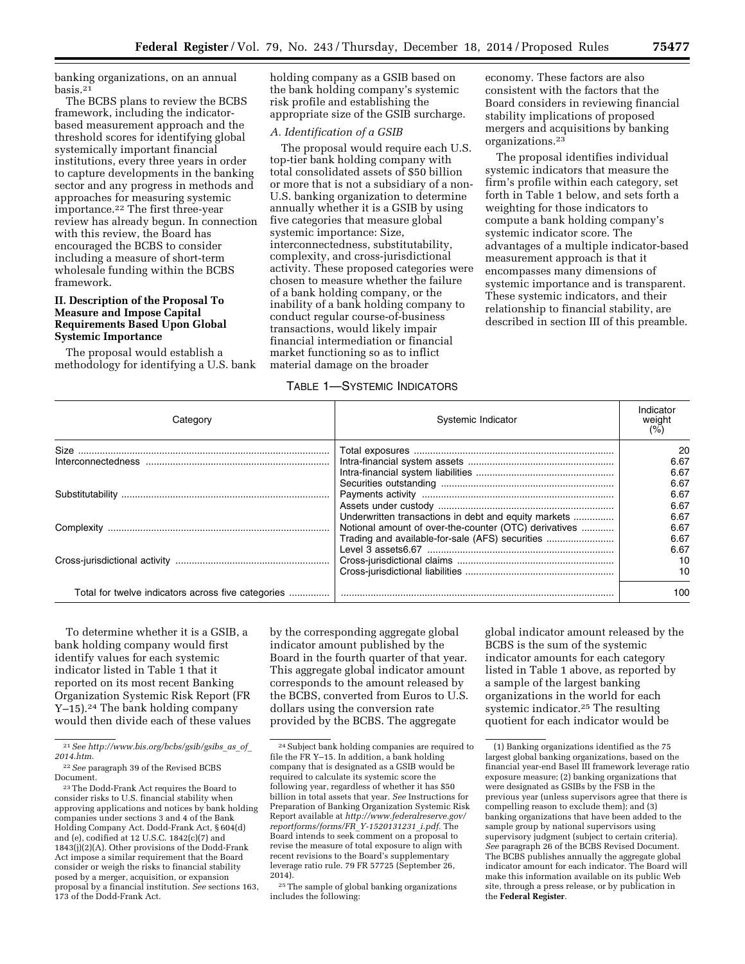banking organizations, on an annual basis.21

The BCBS plans to review the BCBS framework, including the indicatorbased measurement approach and the threshold scores for identifying global systemically important financial institutions, every three years in order to capture developments in the banking sector and any progress in methods and approaches for measuring systemic importance.22 The first three-year review has already begun. In connection with this review, the Board has encouraged the BCBS to consider including a measure of short-term wholesale funding within the BCBS framework.

# **II. Description of the Proposal To Measure and Impose Capital Requirements Based Upon Global Systemic Importance**

The proposal would establish a methodology for identifying a U.S. bank holding company as a GSIB based on the bank holding company's systemic risk profile and establishing the appropriate size of the GSIB surcharge.

#### *A. Identification of a GSIB*

The proposal would require each U.S. top-tier bank holding company with total consolidated assets of \$50 billion or more that is not a subsidiary of a non-U.S. banking organization to determine annually whether it is a GSIB by using five categories that measure global systemic importance: Size, interconnectedness, substitutability, complexity, and cross-jurisdictional activity. These proposed categories were chosen to measure whether the failure of a bank holding company, or the inability of a bank holding company to conduct regular course-of-business transactions, would likely impair financial intermediation or financial market functioning so as to inflict material damage on the broader

# TABLE 1—SYSTEMIC INDICATORS

economy. These factors are also consistent with the factors that the Board considers in reviewing financial stability implications of proposed mergers and acquisitions by banking organizations.23

The proposal identifies individual systemic indicators that measure the firm's profile within each category, set forth in Table 1 below, and sets forth a weighting for those indicators to compute a bank holding company's systemic indicator score. The advantages of a multiple indicator-based measurement approach is that it encompasses many dimensions of systemic importance and is transparent. These systemic indicators, and their relationship to financial stability, are described in section III of this preamble.

| Categorv                                           | Systemic Indicator                                                                                                                                               | Indicator<br>weight<br>(% ) |
|----------------------------------------------------|------------------------------------------------------------------------------------------------------------------------------------------------------------------|-----------------------------|
|                                                    |                                                                                                                                                                  | 20<br>6.67<br>6.67          |
|                                                    |                                                                                                                                                                  | 6.67<br>6.67<br>6.67        |
|                                                    | Underwritten transactions in debt and equity markets<br>Notional amount of over-the-counter (OTC) derivatives<br>Trading and available-for-sale (AFS) securities | 6.67<br>6.67<br>6.67        |
|                                                    |                                                                                                                                                                  | 6.67<br>10<br>10            |
| Total for twelve indicators across five categories |                                                                                                                                                                  | 100                         |

To determine whether it is a GSIB, a bank holding company would first identify values for each systemic indicator listed in Table 1 that it reported on its most recent Banking Organization Systemic Risk Report (FR Y–15).24 The bank holding company would then divide each of these values

21*See [http://www.bis.org/bcbs/gsib/gsibs](http://www.bis.org/bcbs/gsib/gsibs_as_of_2014.htm)*\_*as*\_*of*\_ *[2014.htm.](http://www.bis.org/bcbs/gsib/gsibs_as_of_2014.htm)* 

by the corresponding aggregate global indicator amount published by the Board in the fourth quarter of that year. This aggregate global indicator amount corresponds to the amount released by the BCBS, converted from Euros to U.S. dollars using the conversion rate provided by the BCBS. The aggregate

global indicator amount released by the BCBS is the sum of the systemic indicator amounts for each category listed in Table 1 above, as reported by a sample of the largest banking organizations in the world for each systemic indicator.25 The resulting quotient for each indicator would be

<sup>22</sup>*See* paragraph 39 of the Revised BCBS Document.

<sup>23</sup>The Dodd-Frank Act requires the Board to consider risks to U.S. financial stability when approving applications and notices by bank holding companies under sections 3 and 4 of the Bank Holding Company Act. Dodd-Frank Act, § 604(d) and (e), codified at 12 U.S.C. 1842(c)(7) and 1843(j)(2)(A). Other provisions of the Dodd-Frank Act impose a similar requirement that the Board consider or weigh the risks to financial stability posed by a merger, acquisition, or expansion proposal by a financial institution. *See* sections 163, 173 of the Dodd-Frank Act.

<sup>24</sup>Subject bank holding companies are required to file the FR Y–15. In addition, a bank holding company that is designated as a GSIB would be required to calculate its systemic score the following year, regardless of whether it has \$50 billion in total assets that year. *See* Instructions for Preparation of Banking Organization Systemic Risk Report available at *[http://www.federalreserve.gov/](http://www.federalreserve.gov/reportforms/forms/FR_Y-1520131231_i.pdf) [reportforms/forms/FR](http://www.federalreserve.gov/reportforms/forms/FR_Y-1520131231_i.pdf)*\_*Y-1520131231*\_*i.pdf.* The Board intends to seek comment on a proposal to revise the measure of total exposure to align with recent revisions to the Board's supplementary leverage ratio rule. 79 FR 57725 (September 26, 2014).

<sup>25</sup>The sample of global banking organizations includes the following:

<sup>(1)</sup> Banking organizations identified as the 75 largest global banking organizations, based on the financial year-end Basel III framework leverage ratio exposure measure; (2) banking organizations that were designated as GSIBs by the FSB in the previous year (unless supervisors agree that there is compelling reason to exclude them); and (3) banking organizations that have been added to the sample group by national supervisors using supervisory judgment (subject to certain criteria). *See* paragraph 26 of the BCBS Revised Document. The BCBS publishes annually the aggregate global indicator amount for each indicator. The Board will make this information available on its public Web site, through a press release, or by publication in the **Federal Register**.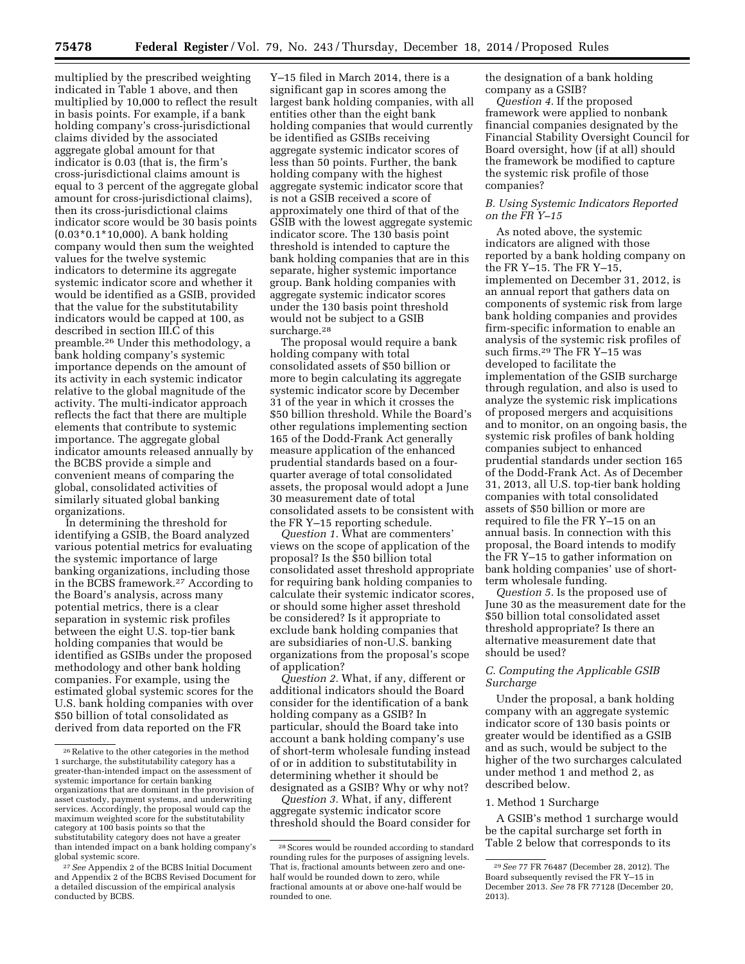multiplied by the prescribed weighting indicated in Table 1 above, and then multiplied by 10,000 to reflect the result in basis points. For example, if a bank holding company's cross-jurisdictional claims divided by the associated aggregate global amount for that indicator is 0.03 (that is, the firm's cross-jurisdictional claims amount is equal to 3 percent of the aggregate global amount for cross-jurisdictional claims), then its cross-jurisdictional claims indicator score would be 30 basis points (0.03\*0.1\*10,000). A bank holding company would then sum the weighted values for the twelve systemic indicators to determine its aggregate systemic indicator score and whether it would be identified as a GSIB, provided that the value for the substitutability indicators would be capped at 100, as described in section III.C of this preamble.26 Under this methodology, a bank holding company's systemic importance depends on the amount of its activity in each systemic indicator relative to the global magnitude of the activity. The multi-indicator approach reflects the fact that there are multiple elements that contribute to systemic importance. The aggregate global indicator amounts released annually by the BCBS provide a simple and convenient means of comparing the global, consolidated activities of similarly situated global banking organizations.

In determining the threshold for identifying a GSIB, the Board analyzed various potential metrics for evaluating the systemic importance of large banking organizations, including those in the BCBS framework.27 According to the Board's analysis, across many potential metrics, there is a clear separation in systemic risk profiles between the eight U.S. top-tier bank holding companies that would be identified as GSIBs under the proposed methodology and other bank holding companies. For example, using the estimated global systemic scores for the U.S. bank holding companies with over \$50 billion of total consolidated as derived from data reported on the FR

Y–15 filed in March 2014, there is a significant gap in scores among the largest bank holding companies, with all entities other than the eight bank holding companies that would currently be identified as GSIBs receiving aggregate systemic indicator scores of less than 50 points. Further, the bank holding company with the highest aggregate systemic indicator score that is not a GSIB received a score of approximately one third of that of the GSIB with the lowest aggregate systemic indicator score. The 130 basis point threshold is intended to capture the bank holding companies that are in this separate, higher systemic importance group. Bank holding companies with aggregate systemic indicator scores under the 130 basis point threshold would not be subject to a GSIB surcharge.<sup>28</sup>

The proposal would require a bank holding company with total consolidated assets of \$50 billion or more to begin calculating its aggregate systemic indicator score by December 31 of the year in which it crosses the \$50 billion threshold. While the Board's other regulations implementing section 165 of the Dodd-Frank Act generally measure application of the enhanced prudential standards based on a fourquarter average of total consolidated assets, the proposal would adopt a June 30 measurement date of total consolidated assets to be consistent with the FR Y–15 reporting schedule.

*Question 1.* What are commenters' views on the scope of application of the proposal? Is the \$50 billion total consolidated asset threshold appropriate for requiring bank holding companies to calculate their systemic indicator scores, or should some higher asset threshold be considered? Is it appropriate to exclude bank holding companies that are subsidiaries of non-U.S. banking organizations from the proposal's scope of application?

*Question 2.* What, if any, different or additional indicators should the Board consider for the identification of a bank holding company as a GSIB? In particular, should the Board take into account a bank holding company's use of short-term wholesale funding instead of or in addition to substitutability in determining whether it should be designated as a GSIB? Why or why not?

*Question 3.* What, if any, different aggregate systemic indicator score threshold should the Board consider for the designation of a bank holding company as a GSIB?

*Question 4.* If the proposed framework were applied to nonbank financial companies designated by the Financial Stability Oversight Council for Board oversight, how (if at all) should the framework be modified to capture the systemic risk profile of those companies?

#### *B. Using Systemic Indicators Reported on the FR Y–15*

As noted above, the systemic indicators are aligned with those reported by a bank holding company on the FR Y-15. The FR Y-15, implemented on December 31, 2012, is an annual report that gathers data on components of systemic risk from large bank holding companies and provides firm-specific information to enable an analysis of the systemic risk profiles of such firms.29 The FR Y–15 was developed to facilitate the implementation of the GSIB surcharge through regulation, and also is used to analyze the systemic risk implications of proposed mergers and acquisitions and to monitor, on an ongoing basis, the systemic risk profiles of bank holding companies subject to enhanced prudential standards under section 165 of the Dodd-Frank Act. As of December 31, 2013, all U.S. top-tier bank holding companies with total consolidated assets of \$50 billion or more are required to file the FR Y–15 on an annual basis. In connection with this proposal, the Board intends to modify the FR Y–15 to gather information on bank holding companies' use of shortterm wholesale funding.

*Question 5.* Is the proposed use of June 30 as the measurement date for the \$50 billion total consolidated asset threshold appropriate? Is there an alternative measurement date that should be used?

# *C. Computing the Applicable GSIB Surcharge*

Under the proposal, a bank holding company with an aggregate systemic indicator score of 130 basis points or greater would be identified as a GSIB and as such, would be subject to the higher of the two surcharges calculated under method 1 and method 2, as described below.

#### 1. Method 1 Surcharge

A GSIB's method 1 surcharge would be the capital surcharge set forth in Table 2 below that corresponds to its

<sup>26</sup>Relative to the other categories in the method 1 surcharge, the substitutability category has a greater-than-intended impact on the assessment of systemic importance for certain banking organizations that are dominant in the provision of asset custody, payment systems, and underwriting services. Accordingly, the proposal would cap the maximum weighted score for the substitutability category at 100 basis points so that the substitutability category does not have a greater than intended impact on a bank holding company's global systemic score.

<sup>27</sup>*See* Appendix 2 of the BCBS Initial Document and Appendix 2 of the BCBS Revised Document for a detailed discussion of the empirical analysis conducted by BCBS.

<sup>28</sup>Scores would be rounded according to standard rounding rules for the purposes of assigning levels. That is, fractional amounts between zero and onehalf would be rounded down to zero, while fractional amounts at or above one-half would be rounded to one.

<sup>29</sup>*See* 77 FR 76487 (December 28, 2012). The Board subsequently revised the FR Y–15 in December 2013. *See* 78 FR 77128 (December 20, 2013).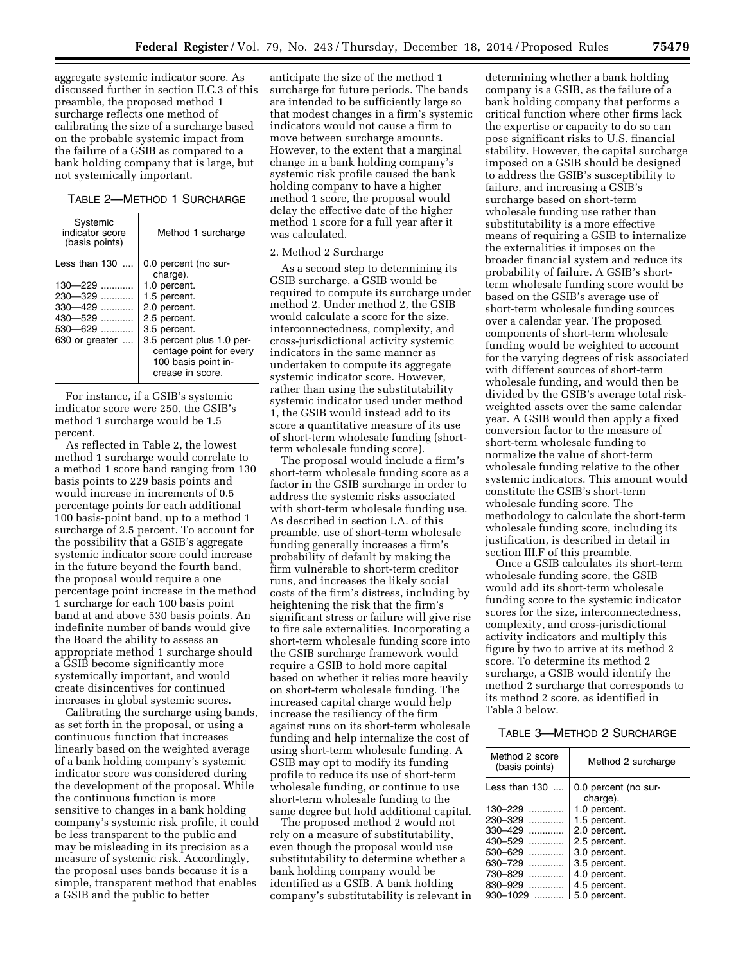aggregate systemic indicator score. As discussed further in section II.C.3 of this preamble, the proposed method 1 surcharge reflects one method of calibrating the size of a surcharge based on the probable systemic impact from the failure of a GSIB as compared to a bank holding company that is large, but not systemically important.

## TABLE 2—METHOD 1 SURCHARGE

| Systemic<br>indicator score<br>(basis points)                                                            | Method 1 surcharge                                                                                                                                                                                                  |
|----------------------------------------------------------------------------------------------------------|---------------------------------------------------------------------------------------------------------------------------------------------------------------------------------------------------------------------|
| Less than $130$<br>$130 - 229$<br>230–329<br>$330 - 429$<br>$430 - 529$<br>$530 - 629$<br>630 or greater | 0.0 percent (no sur-<br>charge).<br>1.0 percent.<br>1.5 percent.<br>2.0 percent.<br>2.5 percent.<br>3.5 percent.<br>3.5 percent plus 1.0 per-<br>centage point for every<br>100 basis point in-<br>crease in score. |
|                                                                                                          |                                                                                                                                                                                                                     |

For instance, if a GSIB's systemic indicator score were 250, the GSIB's method 1 surcharge would be 1.5 percent.

As reflected in Table 2, the lowest method 1 surcharge would correlate to a method 1 score band ranging from 130 basis points to 229 basis points and would increase in increments of 0.5 percentage points for each additional 100 basis-point band, up to a method 1 surcharge of 2.5 percent. To account for the possibility that a GSIB's aggregate systemic indicator score could increase in the future beyond the fourth band, the proposal would require a one percentage point increase in the method 1 surcharge for each 100 basis point band at and above 530 basis points. An indefinite number of bands would give the Board the ability to assess an appropriate method 1 surcharge should a GSIB become significantly more systemically important, and would create disincentives for continued increases in global systemic scores.

Calibrating the surcharge using bands, as set forth in the proposal, or using a continuous function that increases linearly based on the weighted average of a bank holding company's systemic indicator score was considered during the development of the proposal. While the continuous function is more sensitive to changes in a bank holding company's systemic risk profile, it could be less transparent to the public and may be misleading in its precision as a measure of systemic risk. Accordingly, the proposal uses bands because it is a simple, transparent method that enables a GSIB and the public to better

anticipate the size of the method 1 surcharge for future periods. The bands are intended to be sufficiently large so that modest changes in a firm's systemic indicators would not cause a firm to move between surcharge amounts. However, to the extent that a marginal change in a bank holding company's systemic risk profile caused the bank holding company to have a higher method 1 score, the proposal would delay the effective date of the higher method 1 score for a full year after it was calculated.

#### 2. Method 2 Surcharge

As a second step to determining its GSIB surcharge, a GSIB would be required to compute its surcharge under method 2. Under method 2, the GSIB would calculate a score for the size, interconnectedness, complexity, and cross-jurisdictional activity systemic indicators in the same manner as undertaken to compute its aggregate systemic indicator score. However, rather than using the substitutability systemic indicator used under method 1, the GSIB would instead add to its score a quantitative measure of its use of short-term wholesale funding (shortterm wholesale funding score).

The proposal would include a firm's short-term wholesale funding score as a factor in the GSIB surcharge in order to address the systemic risks associated with short-term wholesale funding use. As described in section I.A. of this preamble, use of short-term wholesale funding generally increases a firm's probability of default by making the firm vulnerable to short-term creditor runs, and increases the likely social costs of the firm's distress, including by heightening the risk that the firm's significant stress or failure will give rise to fire sale externalities. Incorporating a short-term wholesale funding score into the GSIB surcharge framework would require a GSIB to hold more capital based on whether it relies more heavily on short-term wholesale funding. The increased capital charge would help increase the resiliency of the firm against runs on its short-term wholesale funding and help internalize the cost of using short-term wholesale funding. A GSIB may opt to modify its funding profile to reduce its use of short-term wholesale funding, or continue to use short-term wholesale funding to the same degree but hold additional capital.

The proposed method 2 would not rely on a measure of substitutability, even though the proposal would use substitutability to determine whether a bank holding company would be identified as a GSIB. A bank holding company's substitutability is relevant in

determining whether a bank holding company is a GSIB, as the failure of a bank holding company that performs a critical function where other firms lack the expertise or capacity to do so can pose significant risks to U.S. financial stability. However, the capital surcharge imposed on a GSIB should be designed to address the GSIB's susceptibility to failure, and increasing a GSIB's surcharge based on short-term wholesale funding use rather than substitutability is a more effective means of requiring a GSIB to internalize the externalities it imposes on the broader financial system and reduce its probability of failure. A GSIB's shortterm wholesale funding score would be based on the GSIB's average use of short-term wholesale funding sources over a calendar year. The proposed components of short-term wholesale funding would be weighted to account for the varying degrees of risk associated with different sources of short-term wholesale funding, and would then be divided by the GSIB's average total riskweighted assets over the same calendar year. A GSIB would then apply a fixed conversion factor to the measure of short-term wholesale funding to normalize the value of short-term wholesale funding relative to the other systemic indicators. This amount would constitute the GSIB's short-term wholesale funding score. The methodology to calculate the short-term wholesale funding score, including its justification, is described in detail in section III.F of this preamble.

Once a GSIB calculates its short-term wholesale funding score, the GSIB would add its short-term wholesale funding score to the systemic indicator scores for the size, interconnectedness, complexity, and cross-jurisdictional activity indicators and multiply this figure by two to arrive at its method 2 score. To determine its method 2 surcharge, a GSIB would identify the method 2 surcharge that corresponds to its method 2 score, as identified in Table 3 below.

# TABLE 3—METHOD 2 SURCHARGE

| Method 2 score<br>(basis points) | Method 2 surcharge               |
|----------------------------------|----------------------------------|
| Less than $130$                  | 0.0 percent (no sur-<br>charge). |
| 130-229<br>                      | 1.0 percent.                     |
| 230-329<br>.                     | 1.5 percent.                     |
| $330 - 429$                      | 2.0 percent.                     |
| 430–529                          | 2.5 percent.                     |
| 530-629<br>.                     | 3.0 percent.                     |
| $630 - 729$                      | 3.5 percent.                     |
| 730–829                          | 4.0 percent.                     |
| 830-929<br>.                     | 4.5 percent.                     |
| 930-1029                         | 5.0 percent.                     |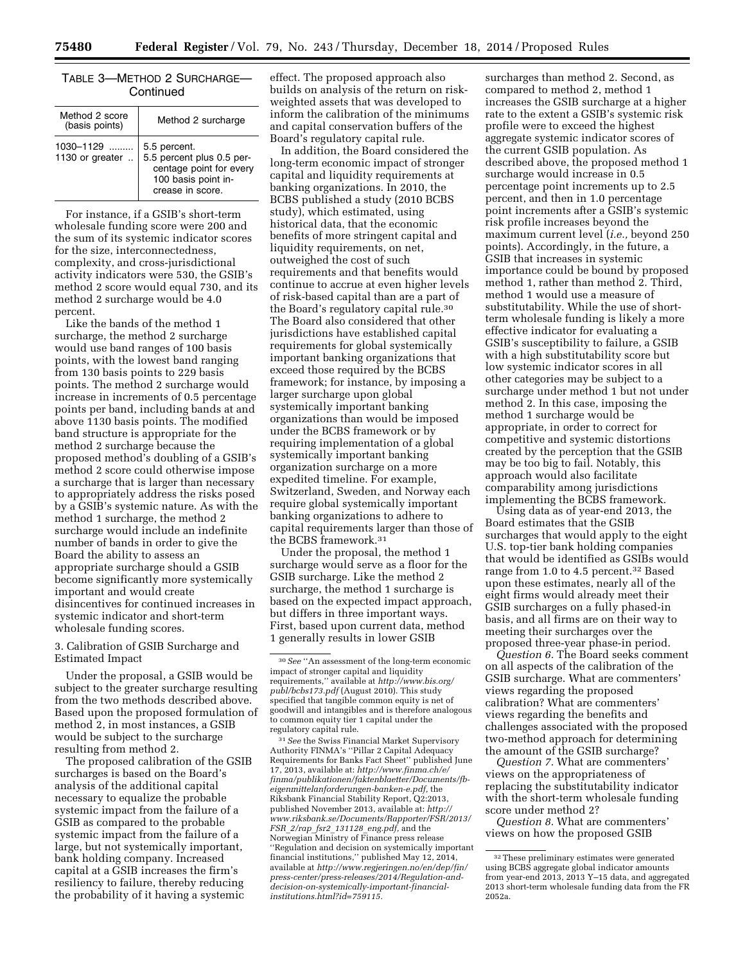| Continued                        |                                                                                                                 |  |  |
|----------------------------------|-----------------------------------------------------------------------------------------------------------------|--|--|
| Method 2 score<br>(basis points) | Method 2 surcharge                                                                                              |  |  |
| $1030 - 1129$<br>1130 or greater | 5.5 percent.<br>5.5 percent plus 0.5 per-<br>centage point for every<br>100 basis point in-<br>crease in score. |  |  |

TABLE 3—METHOD 2 SURCHARGE—

For instance, if a GSIB's short-term wholesale funding score were 200 and the sum of its systemic indicator scores for the size, interconnectedness, complexity, and cross-jurisdictional activity indicators were 530, the GSIB's method 2 score would equal 730, and its method 2 surcharge would be 4.0 percent.

Like the bands of the method 1 surcharge, the method 2 surcharge would use band ranges of 100 basis points, with the lowest band ranging from 130 basis points to 229 basis points. The method 2 surcharge would increase in increments of 0.5 percentage points per band, including bands at and above 1130 basis points. The modified band structure is appropriate for the method 2 surcharge because the proposed method's doubling of a GSIB's method 2 score could otherwise impose a surcharge that is larger than necessary to appropriately address the risks posed by a GSIB's systemic nature. As with the method 1 surcharge, the method 2 surcharge would include an indefinite number of bands in order to give the Board the ability to assess an appropriate surcharge should a GSIB become significantly more systemically important and would create disincentives for continued increases in systemic indicator and short-term wholesale funding scores.

3. Calibration of GSIB Surcharge and Estimated Impact

Under the proposal, a GSIB would be subject to the greater surcharge resulting from the two methods described above. Based upon the proposed formulation of method 2, in most instances, a GSIB would be subject to the surcharge resulting from method 2.

The proposed calibration of the GSIB surcharges is based on the Board's analysis of the additional capital necessary to equalize the probable systemic impact from the failure of a GSIB as compared to the probable systemic impact from the failure of a large, but not systemically important, bank holding company. Increased capital at a GSIB increases the firm's resiliency to failure, thereby reducing the probability of it having a systemic

effect. The proposed approach also builds on analysis of the return on riskweighted assets that was developed to inform the calibration of the minimums and capital conservation buffers of the Board's regulatory capital rule.

In addition, the Board considered the long-term economic impact of stronger capital and liquidity requirements at banking organizations. In 2010, the BCBS published a study (2010 BCBS study), which estimated, using historical data, that the economic benefits of more stringent capital and liquidity requirements, on net, outweighed the cost of such requirements and that benefits would continue to accrue at even higher levels of risk-based capital than are a part of the Board's regulatory capital rule.30 The Board also considered that other jurisdictions have established capital requirements for global systemically important banking organizations that exceed those required by the BCBS framework; for instance, by imposing a larger surcharge upon global systemically important banking organizations than would be imposed under the BCBS framework or by requiring implementation of a global systemically important banking organization surcharge on a more expedited timeline. For example, Switzerland, Sweden, and Norway each require global systemically important banking organizations to adhere to capital requirements larger than those of the BCBS framework.31

Under the proposal, the method 1 surcharge would serve as a floor for the GSIB surcharge. Like the method 2 surcharge, the method 1 surcharge is based on the expected impact approach, but differs in three important ways. First, based upon current data, method 1 generally results in lower GSIB

31*See* the Swiss Financial Market Supervisory Authority FINMA's ''Pillar 2 Capital Adequacy Requirements for Banks Fact Sheet'' published June 17, 2013, available at: *[http://www.finma.ch/e/](http://www.finma.ch/e/finma/publikationen/faktenblaetter/Documents/fb-eigenmittelanforderungen-banken-e.pdf) [finma/publikationen/faktenblaetter/Documents/fb](http://www.finma.ch/e/finma/publikationen/faktenblaetter/Documents/fb-eigenmittelanforderungen-banken-e.pdf)[eigenmittelanforderungen-banken-e.pdf,](http://www.finma.ch/e/finma/publikationen/faktenblaetter/Documents/fb-eigenmittelanforderungen-banken-e.pdf)* the Riksbank Financial Stability Report, Q2:2013, published November 2013, available at: *[http://](http://www.riksbank.se/Documents/Rapporter/FSR/2013/FSR_2/rap_fsr2_131128_eng.pdf) [www.riksbank.se/Documents/Rapporter/FSR/2013/](http://www.riksbank.se/Documents/Rapporter/FSR/2013/FSR_2/rap_fsr2_131128_eng.pdf) FSR*\_*2/rap*\_*fsr2*\_*131128*\_*[eng.pdf,](http://www.riksbank.se/Documents/Rapporter/FSR/2013/FSR_2/rap_fsr2_131128_eng.pdf)* and the Norwegian Ministry of Finance press release ''Regulation and decision on systemically important financial institutions,'' published May 12, 2014, available at *[http://www.regjeringen.no/en/dep/fin/](http://www.regjeringen.no/en/dep/fin/press-center/press-releases/2014/Regulation-and-decision-on-systemically-important-financial-institutions.html?id=759115) [press-center/press-releases/2014/Regulation-and](http://www.regjeringen.no/en/dep/fin/press-center/press-releases/2014/Regulation-and-decision-on-systemically-important-financial-institutions.html?id=759115)[decision-on-systemically-important-financial](http://www.regjeringen.no/en/dep/fin/press-center/press-releases/2014/Regulation-and-decision-on-systemically-important-financial-institutions.html?id=759115)[institutions.html?id=759115.](http://www.regjeringen.no/en/dep/fin/press-center/press-releases/2014/Regulation-and-decision-on-systemically-important-financial-institutions.html?id=759115)* 

surcharges than method 2. Second, as compared to method 2, method 1 increases the GSIB surcharge at a higher rate to the extent a GSIB's systemic risk profile were to exceed the highest aggregate systemic indicator scores of the current GSIB population. As described above, the proposed method 1 surcharge would increase in 0.5 percentage point increments up to 2.5 percent, and then in 1.0 percentage point increments after a GSIB's systemic risk profile increases beyond the maximum current level (*i.e.,* beyond 250 points). Accordingly, in the future, a GSIB that increases in systemic importance could be bound by proposed method 1, rather than method 2. Third, method 1 would use a measure of substitutability. While the use of shortterm wholesale funding is likely a more effective indicator for evaluating a GSIB's susceptibility to failure, a GSIB with a high substitutability score but low systemic indicator scores in all other categories may be subject to a surcharge under method 1 but not under method 2. In this case, imposing the method 1 surcharge would be appropriate, in order to correct for competitive and systemic distortions created by the perception that the GSIB may be too big to fail. Notably, this approach would also facilitate comparability among jurisdictions implementing the BCBS framework.

Using data as of year-end 2013, the Board estimates that the GSIB surcharges that would apply to the eight U.S. top-tier bank holding companies that would be identified as GSIBs would range from 1.0 to 4.5 percent.32 Based upon these estimates, nearly all of the eight firms would already meet their GSIB surcharges on a fully phased-in basis, and all firms are on their way to meeting their surcharges over the proposed three-year phase-in period.

*Question 6.* The Board seeks comment on all aspects of the calibration of the GSIB surcharge. What are commenters' views regarding the proposed calibration? What are commenters' views regarding the benefits and challenges associated with the proposed two-method approach for determining the amount of the GSIB surcharge?

*Question 7.* What are commenters' views on the appropriateness of replacing the substitutability indicator with the short-term wholesale funding score under method 2?

*Question 8.* What are commenters' views on how the proposed GSIB

<sup>30</sup>*See* ''An assessment of the long-term economic impact of stronger capital and liquidity requirements,'' available at *[http://www.bis.org/](http://www.bis.org/publ/bcbs173.pdf) [publ/bcbs173.pdf](http://www.bis.org/publ/bcbs173.pdf)* (August 2010). This study specified that tangible common equity is net of goodwill and intangibles and is therefore analogous to common equity tier 1 capital under the regulatory capital rule.

<sup>32</sup>These preliminary estimates were generated using BCBS aggregate global indicator amounts from year-end 2013, 2013 Y–15 data, and aggregated 2013 short-term wholesale funding data from the FR 2052a.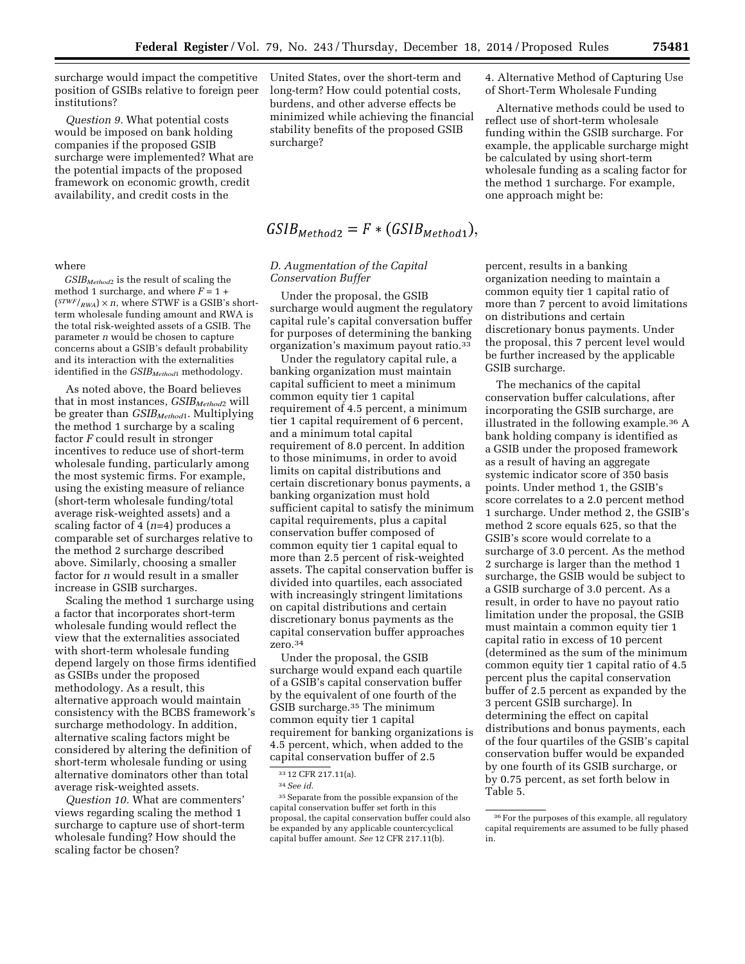surcharge would impact the competitive position of GSIBs relative to foreign peer institutions?

*Question 9.* What potential costs would be imposed on bank holding companies if the proposed GSIB surcharge were implemented? What are the potential impacts of the proposed framework on economic growth, credit availability, and credit costs in the

where

*GSIBMethod*2 is the result of scaling the method 1 surcharge, and where  $F = 1 +$  $(STWF/_{RWA}) \times n$ , where STWF is a GSIB's shortterm wholesale funding amount and RWA is the total risk-weighted assets of a GSIB. The parameter *n* would be chosen to capture concerns about a GSIB's default probability and its interaction with the externalities identified in the *GSIBMethod*1 methodology.

As noted above, the Board believes that in most instances, *GSIBMethod*2 will be greater than *GSIBMethod*1. Multiplying the method 1 surcharge by a scaling factor *F* could result in stronger incentives to reduce use of short-term wholesale funding, particularly among the most systemic firms. For example, using the existing measure of reliance (short-term wholesale funding/total average risk-weighted assets) and a scaling factor of 4 (*n*=4) produces a comparable set of surcharges relative to the method 2 surcharge described above. Similarly, choosing a smaller factor for *n* would result in a smaller increase in GSIB surcharges.

Scaling the method 1 surcharge using a factor that incorporates short-term wholesale funding would reflect the view that the externalities associated with short-term wholesale funding depend largely on those firms identified as GSIBs under the proposed methodology. As a result, this alternative approach would maintain consistency with the BCBS framework's surcharge methodology. In addition, alternative scaling factors might be considered by altering the definition of short-term wholesale funding or using alternative dominators other than total average risk-weighted assets.

*Question 10.* What are commenters' views regarding scaling the method 1 surcharge to capture use of short-term wholesale funding? How should the scaling factor be chosen?

United States, over the short-term and long-term? How could potential costs, burdens, and other adverse effects be minimized while achieving the financial stability benefits of the proposed GSIB surcharge?

# $GSIB_{Method2} = F * (GSIB_{Method1}),$

# *D. Augmentation of the Capital Conservation Buffer*

Under the proposal, the GSIB surcharge would augment the regulatory capital rule's capital conversation buffer for purposes of determining the banking organization's maximum payout ratio.33

Under the regulatory capital rule, a banking organization must maintain capital sufficient to meet a minimum common equity tier 1 capital requirement of 4.5 percent, a minimum tier 1 capital requirement of 6 percent, and a minimum total capital requirement of 8.0 percent. In addition to those minimums, in order to avoid limits on capital distributions and certain discretionary bonus payments, a banking organization must hold sufficient capital to satisfy the minimum capital requirements, plus a capital conservation buffer composed of common equity tier 1 capital equal to more than 2.5 percent of risk-weighted assets. The capital conservation buffer is divided into quartiles, each associated with increasingly stringent limitations on capital distributions and certain discretionary bonus payments as the capital conservation buffer approaches zero.34

Under the proposal, the GSIB surcharge would expand each quartile of a GSIB's capital conservation buffer by the equivalent of one fourth of the GSIB surcharge.35 The minimum common equity tier 1 capital requirement for banking organizations is 4.5 percent, which, when added to the capital conservation buffer of 2.5

4. Alternative Method of Capturing Use of Short-Term Wholesale Funding

Alternative methods could be used to reflect use of short-term wholesale funding within the GSIB surcharge. For example, the applicable surcharge might be calculated by using short-term wholesale funding as a scaling factor for the method 1 surcharge. For example, one approach might be:

percent, results in a banking organization needing to maintain a common equity tier 1 capital ratio of more than 7 percent to avoid limitations on distributions and certain discretionary bonus payments. Under the proposal, this 7 percent level would be further increased by the applicable GSIB surcharge.

The mechanics of the capital conservation buffer calculations, after incorporating the GSIB surcharge, are illustrated in the following example.36 A bank holding company is identified as a GSIB under the proposed framework as a result of having an aggregate systemic indicator score of 350 basis points. Under method 1, the GSIB's score correlates to a 2.0 percent method 1 surcharge. Under method 2, the GSIB's method 2 score equals 625, so that the GSIB's score would correlate to a surcharge of 3.0 percent. As the method 2 surcharge is larger than the method 1 surcharge, the GSIB would be subject to a GSIB surcharge of 3.0 percent. As a result, in order to have no payout ratio limitation under the proposal, the GSIB must maintain a common equity tier 1 capital ratio in excess of 10 percent (determined as the sum of the minimum common equity tier 1 capital ratio of 4.5 percent plus the capital conservation buffer of 2.5 percent as expanded by the 3 percent GSIB surcharge). In determining the effect on capital distributions and bonus payments, each of the four quartiles of the GSIB's capital conservation buffer would be expanded by one fourth of its GSIB surcharge, or by 0.75 percent, as set forth below in Table 5.

<sup>33</sup> 12 CFR 217.11(a).

<sup>34</sup>*See id.* 

<sup>35</sup>Separate from the possible expansion of the capital conservation buffer set forth in this proposal, the capital conservation buffer could also be expanded by any applicable countercyclical capital buffer amount. *See* 12 CFR 217.11(b).

<sup>36</sup>For the purposes of this example, all regulatory capital requirements are assumed to be fully phased in.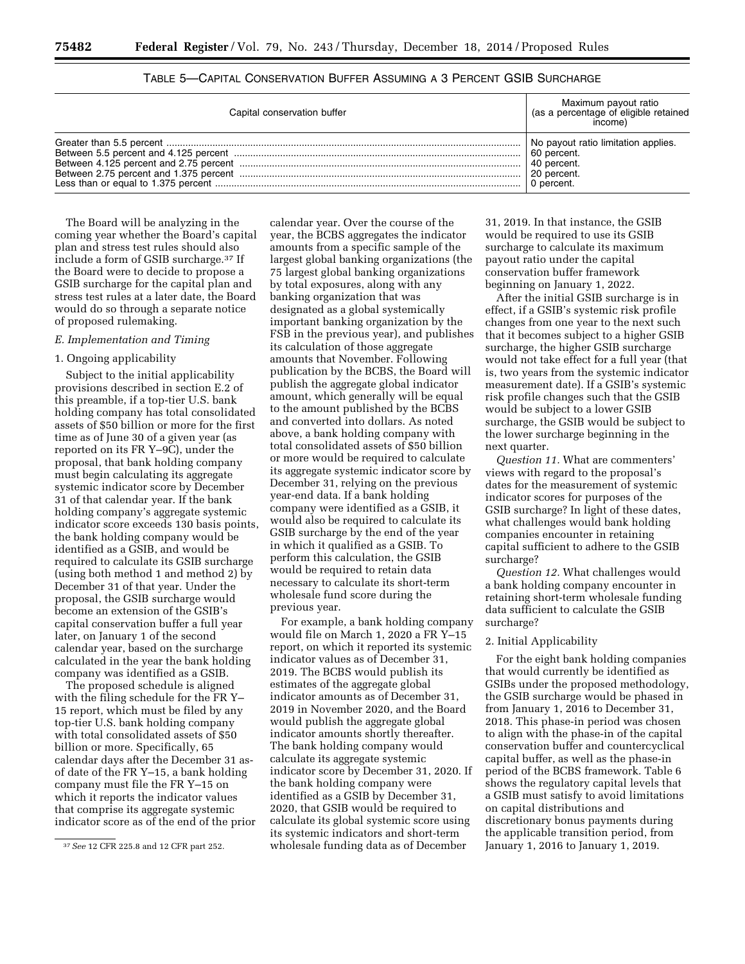| Capital conservation buffer | Maximum payout ratio<br>(as a percentage of eligible retained<br>income) |
|-----------------------------|--------------------------------------------------------------------------|
|                             | No payout ratio limitation applies.                                      |
|                             | 60 percent.                                                              |
|                             | 40 percent.                                                              |
|                             | 20 percent.                                                              |
|                             | 0 percent.                                                               |

| TABLE 5—CAPITAL CONSERVATION BUFFER ASSUMING A 3 PERCENT GSIB SURCHARGE |
|-------------------------------------------------------------------------|
|-------------------------------------------------------------------------|

The Board will be analyzing in the coming year whether the Board's capital plan and stress test rules should also include a form of GSIB surcharge.37 If the Board were to decide to propose a GSIB surcharge for the capital plan and stress test rules at a later date, the Board would do so through a separate notice of proposed rulemaking.

#### *E. Implementation and Timing*

# 1. Ongoing applicability

Subject to the initial applicability provisions described in section E.2 of this preamble, if a top-tier U.S. bank holding company has total consolidated assets of \$50 billion or more for the first time as of June 30 of a given year (as reported on its FR Y–9C), under the proposal, that bank holding company must begin calculating its aggregate systemic indicator score by December 31 of that calendar year. If the bank holding company's aggregate systemic indicator score exceeds 130 basis points, the bank holding company would be identified as a GSIB, and would be required to calculate its GSIB surcharge (using both method 1 and method 2) by December 31 of that year. Under the proposal, the GSIB surcharge would become an extension of the GSIB's capital conservation buffer a full year later, on January 1 of the second calendar year, based on the surcharge calculated in the year the bank holding company was identified as a GSIB.

The proposed schedule is aligned with the filing schedule for the FR Y– 15 report, which must be filed by any top-tier U.S. bank holding company with total consolidated assets of \$50 billion or more. Specifically, 65 calendar days after the December 31 asof date of the FR Y–15, a bank holding company must file the FR Y–15 on which it reports the indicator values that comprise its aggregate systemic indicator score as of the end of the prior

calendar year. Over the course of the year, the BCBS aggregates the indicator amounts from a specific sample of the largest global banking organizations (the 75 largest global banking organizations by total exposures, along with any banking organization that was designated as a global systemically important banking organization by the FSB in the previous year), and publishes its calculation of those aggregate amounts that November. Following publication by the BCBS, the Board will publish the aggregate global indicator amount, which generally will be equal to the amount published by the BCBS and converted into dollars. As noted above, a bank holding company with total consolidated assets of \$50 billion or more would be required to calculate its aggregate systemic indicator score by December 31, relying on the previous year-end data. If a bank holding company were identified as a GSIB, it would also be required to calculate its GSIB surcharge by the end of the year in which it qualified as a GSIB. To perform this calculation, the GSIB would be required to retain data necessary to calculate its short-term wholesale fund score during the previous year.

For example, a bank holding company would file on March 1, 2020 a FR Y–15 report, on which it reported its systemic indicator values as of December 31, 2019. The BCBS would publish its estimates of the aggregate global indicator amounts as of December 31, 2019 in November 2020, and the Board would publish the aggregate global indicator amounts shortly thereafter. The bank holding company would calculate its aggregate systemic indicator score by December 31, 2020. If the bank holding company were identified as a GSIB by December 31, 2020, that GSIB would be required to calculate its global systemic score using its systemic indicators and short-term wholesale funding data as of December

31, 2019. In that instance, the GSIB would be required to use its GSIB surcharge to calculate its maximum payout ratio under the capital conservation buffer framework beginning on January 1, 2022.

After the initial GSIB surcharge is in effect, if a GSIB's systemic risk profile changes from one year to the next such that it becomes subject to a higher GSIB surcharge, the higher GSIB surcharge would not take effect for a full year (that is, two years from the systemic indicator measurement date). If a GSIB's systemic risk profile changes such that the GSIB would be subject to a lower GSIB surcharge, the GSIB would be subject to the lower surcharge beginning in the next quarter.

*Question 11.* What are commenters' views with regard to the proposal's dates for the measurement of systemic indicator scores for purposes of the GSIB surcharge? In light of these dates, what challenges would bank holding companies encounter in retaining capital sufficient to adhere to the GSIB surcharge?

*Question 12.* What challenges would a bank holding company encounter in retaining short-term wholesale funding data sufficient to calculate the GSIB surcharge?

#### 2. Initial Applicability

For the eight bank holding companies that would currently be identified as GSIBs under the proposed methodology, the GSIB surcharge would be phased in from January 1, 2016 to December 31, 2018. This phase-in period was chosen to align with the phase-in of the capital conservation buffer and countercyclical capital buffer, as well as the phase-in period of the BCBS framework. Table 6 shows the regulatory capital levels that a GSIB must satisfy to avoid limitations on capital distributions and discretionary bonus payments during the applicable transition period, from January 1, 2016 to January 1, 2019.

<sup>37</sup>*See* 12 CFR 225.8 and 12 CFR part 252.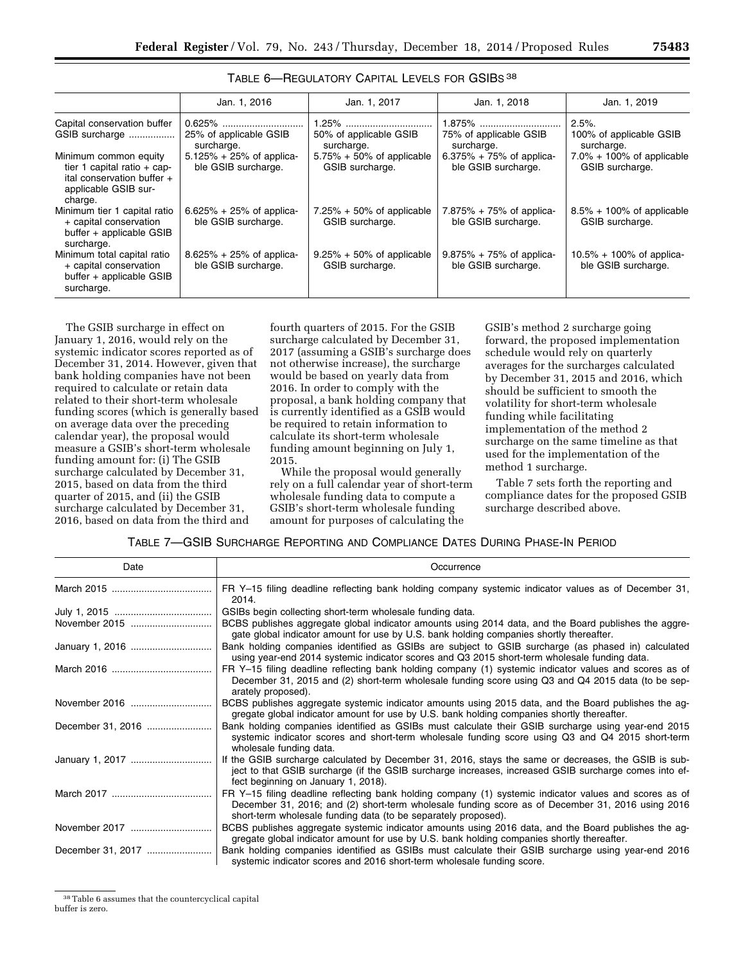|                                                                                                                           | Jan. 1, 2016                                        | Jan. 1, 2017                                     | Jan. 1, 2018                                        | Jan. 1, 2019                                        |
|---------------------------------------------------------------------------------------------------------------------------|-----------------------------------------------------|--------------------------------------------------|-----------------------------------------------------|-----------------------------------------------------|
| Capital conservation buffer<br>GSIB surcharge                                                                             | 0.625%<br>25% of applicable GSIB<br>surcharge.      | $1.25\%$<br>50% of applicable GSIB<br>surcharge. | 75% of applicable GSIB<br>surcharge.                | 2.5%<br>100% of applicable GSIB<br>surcharge.       |
| Minimum common equity<br>tier 1 capital ratio $+$ cap-<br>ital conservation buffer $+$<br>applicable GSIB sur-<br>charge. | $5.125\% + 25\%$ of applica-<br>ble GSIB surcharge. | $5.75\% + 50\%$ of applicable<br>GSIB surcharge. | $6.375\% + 75\%$ of applica-<br>ble GSIB surcharge. | $7.0\% + 100\%$ of applicable<br>GSIB surcharge.    |
| Minimum tier 1 capital ratio<br>+ capital conservation<br>buffer + applicable GSIB<br>surcharge.                          | $6.625\% + 25\%$ of applica-<br>ble GSIB surcharge. | $7.25\% + 50\%$ of applicable<br>GSIB surcharge. | 7.875% + 75% of applica-<br>ble GSIB surcharge.     | $8.5\% + 100\%$ of applicable<br>GSIB surcharge.    |
| Minimum total capital ratio<br>+ capital conservation<br>buffer + applicable GSIB<br>surcharge.                           | $8.625\% + 25\%$ of applica-<br>ble GSIB surcharge. | $9.25\% + 50\%$ of applicable<br>GSIB surcharge. | $9.875\% + 75\%$ of applica-<br>ble GSIB surcharge. | $10.5\% + 100\%$ of applica-<br>ble GSIB surcharge. |

TABLE 6—REGULATORY CAPITAL LEVELS FOR GSIBS 38

The GSIB surcharge in effect on January 1, 2016, would rely on the systemic indicator scores reported as of December 31, 2014. However, given that bank holding companies have not been required to calculate or retain data related to their short-term wholesale funding scores (which is generally based on average data over the preceding calendar year), the proposal would measure a GSIB's short-term wholesale funding amount for: (i) The GSIB surcharge calculated by December 31, 2015, based on data from the third quarter of 2015, and (ii) the GSIB surcharge calculated by December 31, 2016, based on data from the third and

fourth quarters of 2015. For the GSIB surcharge calculated by December 31, 2017 (assuming a GSIB's surcharge does not otherwise increase), the surcharge would be based on yearly data from 2016. In order to comply with the proposal, a bank holding company that is currently identified as a GSIB would be required to retain information to calculate its short-term wholesale funding amount beginning on July 1, 2015.

While the proposal would generally rely on a full calendar year of short-term wholesale funding data to compute a GSIB's short-term wholesale funding amount for purposes of calculating the

GSIB's method 2 surcharge going forward, the proposed implementation schedule would rely on quarterly averages for the surcharges calculated by December 31, 2015 and 2016, which should be sufficient to smooth the volatility for short-term wholesale funding while facilitating implementation of the method 2 surcharge on the same timeline as that used for the implementation of the method 1 surcharge.

Table 7 sets forth the reporting and compliance dates for the proposed GSIB surcharge described above.

# TABLE 7—GSIB SURCHARGE REPORTING AND COMPLIANCE DATES DURING PHASE-IN PERIOD

| Date              | Occurrence                                                                                                                                                                                                                                                                   |
|-------------------|------------------------------------------------------------------------------------------------------------------------------------------------------------------------------------------------------------------------------------------------------------------------------|
|                   | FR Y-15 filing deadline reflecting bank holding company systemic indicator values as of December 31,<br>2014.                                                                                                                                                                |
|                   | GSIBs begin collecting short-term wholesale funding data.                                                                                                                                                                                                                    |
|                   | BCBS publishes aggregate global indicator amounts using 2014 data, and the Board publishes the aggre-<br>gate global indicator amount for use by U.S. bank holding companies shortly thereafter.                                                                             |
|                   | Bank holding companies identified as GSIBs are subject to GSIB surcharge (as phased in) calculated<br>using year-end 2014 systemic indicator scores and Q3 2015 short-term wholesale funding data.                                                                           |
|                   | FR Y-15 filing deadline reflecting bank holding company (1) systemic indicator values and scores as of<br>December 31, 2015 and (2) short-term wholesale funding score using Q3 and Q4 2015 data (to be sep-<br>arately proposed).                                           |
|                   | BCBS publishes aggregate systemic indicator amounts using 2015 data, and the Board publishes the ag-<br>gregate global indicator amount for use by U.S. bank holding companies shortly thereafter.                                                                           |
| December 31, 2016 | Bank holding companies identified as GSIBs must calculate their GSIB surcharge using year-end 2015<br>systemic indicator scores and short-term wholesale funding score using Q3 and Q4 2015 short-term<br>wholesale funding data.                                            |
|                   | If the GSIB surcharge calculated by December 31, 2016, stays the same or decreases, the GSIB is sub-<br>ject to that GSIB surcharge (if the GSIB surcharge increases, increased GSIB surcharge comes into ef-<br>fect beginning on January 1, 2018).                         |
|                   | FR Y-15 filing deadline reflecting bank holding company (1) systemic indicator values and scores as of<br>December 31, 2016; and (2) short-term wholesale funding score as of December 31, 2016 using 2016<br>short-term wholesale funding data (to be separately proposed). |
|                   | BCBS publishes aggregate systemic indicator amounts using 2016 data, and the Board publishes the ag-<br>gregate global indicator amount for use by U.S. bank holding companies shortly thereafter.                                                                           |
| December 31, 2017 | Bank holding companies identified as GSIBs must calculate their GSIB surcharge using year-end 2016<br>systemic indicator scores and 2016 short-term wholesale funding score.                                                                                                 |

38Table 6 assumes that the countercyclical capital buffer is zero.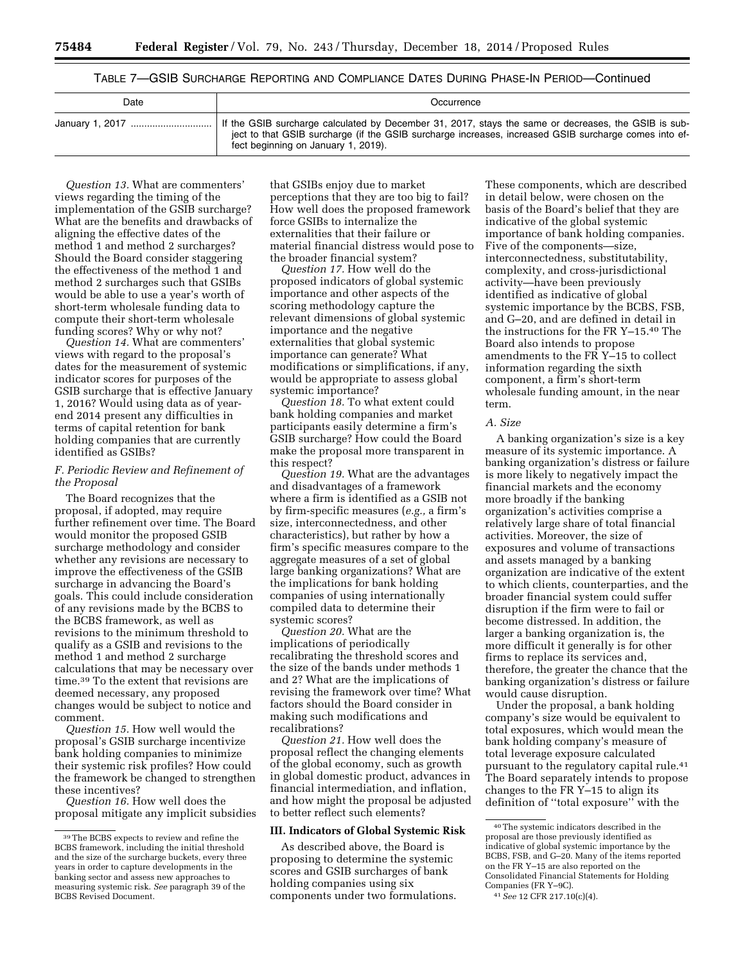# TABLE 7—GSIB SURCHARGE REPORTING AND COMPLIANCE DATES DURING PHASE-IN PERIOD—Continued

| Date | Occurrence                                                                                                                                                                                                                                           |
|------|------------------------------------------------------------------------------------------------------------------------------------------------------------------------------------------------------------------------------------------------------|
|      | If the GSIB surcharge calculated by December 31, 2017, stays the same or decreases, the GSIB is sub-<br>ject to that GSIB surcharge (if the GSIB surcharge increases, increased GSIB surcharge comes into ef-<br>fect beginning on January 1, 2019). |

*Question 13.* What are commenters' views regarding the timing of the implementation of the GSIB surcharge? What are the benefits and drawbacks of aligning the effective dates of the method 1 and method 2 surcharges? Should the Board consider staggering the effectiveness of the method 1 and method 2 surcharges such that GSIBs would be able to use a year's worth of short-term wholesale funding data to compute their short-term wholesale funding scores? Why or why not?

*Question 14.* What are commenters' views with regard to the proposal's dates for the measurement of systemic indicator scores for purposes of the GSIB surcharge that is effective January 1, 2016? Would using data as of yearend 2014 present any difficulties in terms of capital retention for bank holding companies that are currently identified as GSIBs?

# *F. Periodic Review and Refinement of the Proposal*

The Board recognizes that the proposal, if adopted, may require further refinement over time. The Board would monitor the proposed GSIB surcharge methodology and consider whether any revisions are necessary to improve the effectiveness of the GSIB surcharge in advancing the Board's goals. This could include consideration of any revisions made by the BCBS to the BCBS framework, as well as revisions to the minimum threshold to qualify as a GSIB and revisions to the method 1 and method 2 surcharge calculations that may be necessary over time.39 To the extent that revisions are deemed necessary, any proposed changes would be subject to notice and comment.

*Question 15.* How well would the proposal's GSIB surcharge incentivize bank holding companies to minimize their systemic risk profiles? How could the framework be changed to strengthen these incentives?

*Question 16.* How well does the proposal mitigate any implicit subsidies that GSIBs enjoy due to market perceptions that they are too big to fail? How well does the proposed framework force GSIBs to internalize the externalities that their failure or material financial distress would pose to the broader financial system?

*Question 17.* How well do the proposed indicators of global systemic importance and other aspects of the scoring methodology capture the relevant dimensions of global systemic importance and the negative externalities that global systemic importance can generate? What modifications or simplifications, if any, would be appropriate to assess global systemic importance?

*Question 18.* To what extent could bank holding companies and market participants easily determine a firm's GSIB surcharge? How could the Board make the proposal more transparent in this respect?

*Question 19.* What are the advantages and disadvantages of a framework where a firm is identified as a GSIB not by firm-specific measures (*e.g.,* a firm's size, interconnectedness, and other characteristics), but rather by how a firm's specific measures compare to the aggregate measures of a set of global large banking organizations? What are the implications for bank holding companies of using internationally compiled data to determine their systemic scores?

*Question 20.* What are the implications of periodically recalibrating the threshold scores and the size of the bands under methods 1 and 2? What are the implications of revising the framework over time? What factors should the Board consider in making such modifications and recalibrations?

*Question 21.* How well does the proposal reflect the changing elements of the global economy, such as growth in global domestic product, advances in financial intermediation, and inflation, and how might the proposal be adjusted to better reflect such elements?

#### **III. Indicators of Global Systemic Risk**

As described above, the Board is proposing to determine the systemic scores and GSIB surcharges of bank holding companies using six components under two formulations.

These components, which are described in detail below, were chosen on the basis of the Board's belief that they are indicative of the global systemic importance of bank holding companies. Five of the components—size, interconnectedness, substitutability, complexity, and cross-jurisdictional activity—have been previously identified as indicative of global systemic importance by the BCBS, FSB, and G–20, and are defined in detail in the instructions for the FR Y–15.40 The Board also intends to propose amendments to the FR Y–15 to collect information regarding the sixth component, a firm's short-term wholesale funding amount, in the near term.

#### *A. Size*

A banking organization's size is a key measure of its systemic importance. A banking organization's distress or failure is more likely to negatively impact the financial markets and the economy more broadly if the banking organization's activities comprise a relatively large share of total financial activities. Moreover, the size of exposures and volume of transactions and assets managed by a banking organization are indicative of the extent to which clients, counterparties, and the broader financial system could suffer disruption if the firm were to fail or become distressed. In addition, the larger a banking organization is, the more difficult it generally is for other firms to replace its services and, therefore, the greater the chance that the banking organization's distress or failure would cause disruption.

Under the proposal, a bank holding company's size would be equivalent to total exposures, which would mean the bank holding company's measure of total leverage exposure calculated pursuant to the regulatory capital rule.41 The Board separately intends to propose changes to the FR Y–15 to align its definition of ''total exposure'' with the

<sup>39</sup>The BCBS expects to review and refine the BCBS framework, including the initial threshold and the size of the surcharge buckets, every three years in order to capture developments in the banking sector and assess new approaches to measuring systemic risk. *See* paragraph 39 of the BCBS Revised Document.

<sup>40</sup>The systemic indicators described in the proposal are those previously identified as indicative of global systemic importance by the BCBS, FSB, and G–20. Many of the items reported on the FR Y–15 are also reported on the Consolidated Financial Statements for Holding Companies (FR Y–9C).

<sup>41</sup>*See* 12 CFR 217.10(c)(4).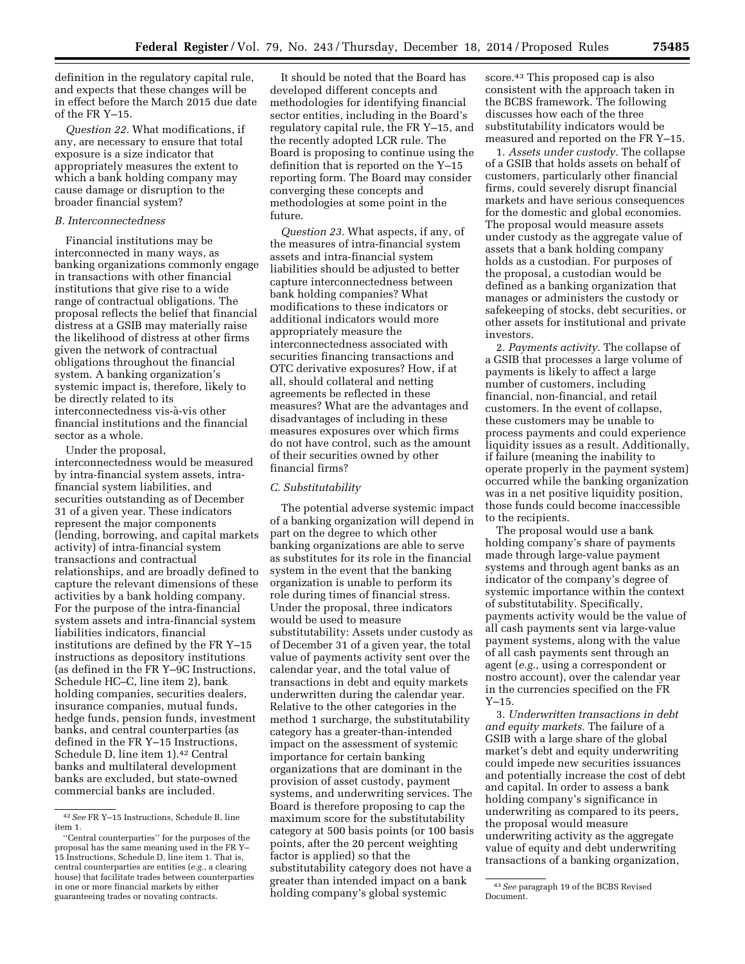definition in the regulatory capital rule, and expects that these changes will be in effect before the March 2015 due date of the FR Y–15.

*Question 22.* What modifications, if any, are necessary to ensure that total exposure is a size indicator that appropriately measures the extent to which a bank holding company may cause damage or disruption to the broader financial system?

# *B. Interconnectedness*

Financial institutions may be interconnected in many ways, as banking organizations commonly engage in transactions with other financial institutions that give rise to a wide range of contractual obligations. The proposal reflects the belief that financial distress at a GSIB may materially raise the likelihood of distress at other firms given the network of contractual obligations throughout the financial system. A banking organization's systemic impact is, therefore, likely to be directly related to its interconnectedness vis-à-vis other financial institutions and the financial sector as a whole.

Under the proposal, interconnectedness would be measured by intra-financial system assets, intrafinancial system liabilities, and securities outstanding as of December 31 of a given year. These indicators represent the major components (lending, borrowing, and capital markets activity) of intra-financial system transactions and contractual relationships, and are broadly defined to capture the relevant dimensions of these activities by a bank holding company. For the purpose of the intra-financial system assets and intra-financial system liabilities indicators, financial institutions are defined by the FR Y–15 instructions as depository institutions (as defined in the  $FR$  Y-9C Instructions. Schedule HC–C, line item 2), bank holding companies, securities dealers, insurance companies, mutual funds, hedge funds, pension funds, investment banks, and central counterparties (as defined in the FR Y–15 Instructions, Schedule D, line item 1).42 Central banks and multilateral development banks are excluded, but state-owned commercial banks are included.

It should be noted that the Board has developed different concepts and methodologies for identifying financial sector entities, including in the Board's regulatory capital rule, the FR Y–15, and the recently adopted LCR rule. The Board is proposing to continue using the definition that is reported on the Y–15 reporting form. The Board may consider converging these concepts and methodologies at some point in the future.

*Question 23.* What aspects, if any, of the measures of intra-financial system assets and intra-financial system liabilities should be adjusted to better capture interconnectedness between bank holding companies? What modifications to these indicators or additional indicators would more appropriately measure the interconnectedness associated with securities financing transactions and OTC derivative exposures? How, if at all, should collateral and netting agreements be reflected in these measures? What are the advantages and disadvantages of including in these measures exposures over which firms do not have control, such as the amount of their securities owned by other financial firms?

#### *C. Substitutability*

The potential adverse systemic impact of a banking organization will depend in part on the degree to which other banking organizations are able to serve as substitutes for its role in the financial system in the event that the banking organization is unable to perform its role during times of financial stress. Under the proposal, three indicators would be used to measure substitutability: Assets under custody as of December 31 of a given year, the total value of payments activity sent over the calendar year, and the total value of transactions in debt and equity markets underwritten during the calendar year. Relative to the other categories in the method 1 surcharge, the substitutability category has a greater-than-intended impact on the assessment of systemic importance for certain banking organizations that are dominant in the provision of asset custody, payment systems, and underwriting services. The Board is therefore proposing to cap the maximum score for the substitutability category at 500 basis points (or 100 basis points, after the 20 percent weighting factor is applied) so that the substitutability category does not have a greater than intended impact on a bank holding company's global systemic

score.43 This proposed cap is also consistent with the approach taken in the BCBS framework. The following discusses how each of the three substitutability indicators would be measured and reported on the FR Y–15.

1. *Assets under custody.* The collapse of a GSIB that holds assets on behalf of customers, particularly other financial firms, could severely disrupt financial markets and have serious consequences for the domestic and global economies. The proposal would measure assets under custody as the aggregate value of assets that a bank holding company holds as a custodian. For purposes of the proposal, a custodian would be defined as a banking organization that manages or administers the custody or safekeeping of stocks, debt securities, or other assets for institutional and private investors.

2. *Payments activity.* The collapse of a GSIB that processes a large volume of payments is likely to affect a large number of customers, including financial, non-financial, and retail customers. In the event of collapse, these customers may be unable to process payments and could experience liquidity issues as a result. Additionally, if failure (meaning the inability to operate properly in the payment system) occurred while the banking organization was in a net positive liquidity position, those funds could become inaccessible to the recipients.

The proposal would use a bank holding company's share of payments made through large-value payment systems and through agent banks as an indicator of the company's degree of systemic importance within the context of substitutability. Specifically, payments activity would be the value of all cash payments sent via large-value payment systems, along with the value of all cash payments sent through an agent (*e.g.*, using a correspondent or nostro account), over the calendar year in the currencies specified on the FR Y–15.

3. *Underwritten transactions in debt and equity markets.* The failure of a GSIB with a large share of the global market's debt and equity underwriting could impede new securities issuances and potentially increase the cost of debt and capital. In order to assess a bank holding company's significance in underwriting as compared to its peers, the proposal would measure underwriting activity as the aggregate value of equity and debt underwriting transactions of a banking organization,

<sup>42</sup>*See* FR Y–15 Instructions, Schedule B, line item 1.

<sup>&#</sup>x27;'Central counterparties'' for the purposes of the proposal has the same meaning used in the FR Y– 15 Instructions, Schedule D, line item 1. That is, central counterparties are entities (*e.g.,* a clearing house) that facilitate trades between counterparties in one or more financial markets by either guaranteeing trades or novating contracts.

<sup>43</sup>*See* paragraph 19 of the BCBS Revised Document.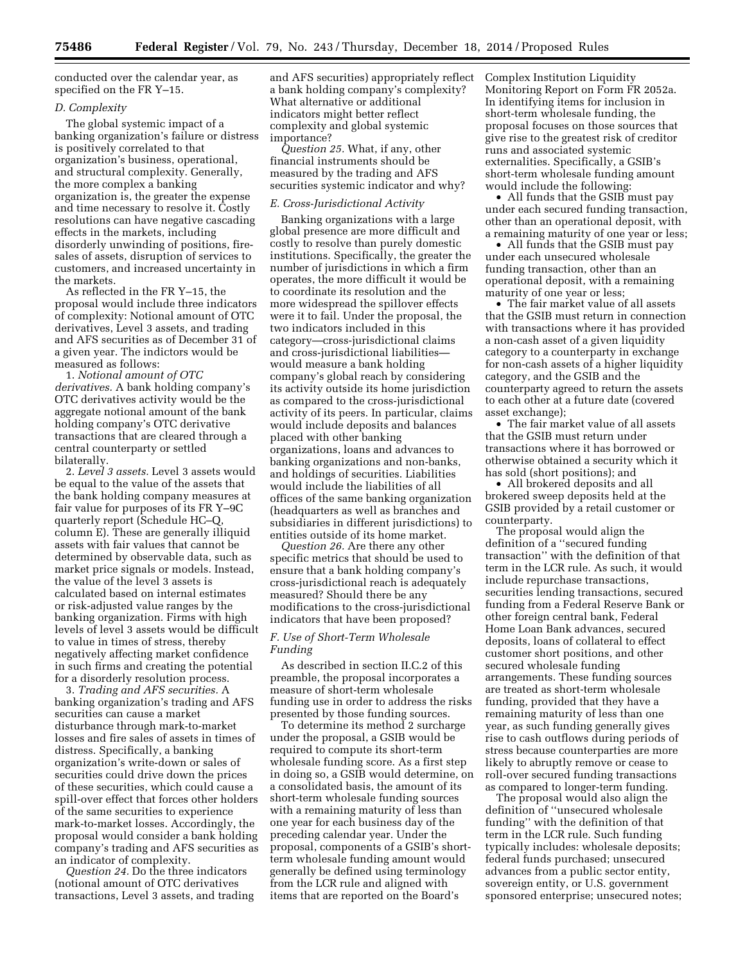conducted over the calendar year, as specified on the FR Y–15.

#### *D. Complexity*

The global systemic impact of a banking organization's failure or distress is positively correlated to that organization's business, operational, and structural complexity. Generally, the more complex a banking organization is, the greater the expense and time necessary to resolve it. Costly resolutions can have negative cascading effects in the markets, including disorderly unwinding of positions, firesales of assets, disruption of services to customers, and increased uncertainty in the markets.

As reflected in the FR Y–15, the proposal would include three indicators of complexity: Notional amount of OTC derivatives, Level 3 assets, and trading and AFS securities as of December 31 of a given year. The indictors would be measured as follows:

1. *Notional amount of OTC derivatives.* A bank holding company's OTC derivatives activity would be the aggregate notional amount of the bank holding company's OTC derivative transactions that are cleared through a central counterparty or settled bilaterally.

2. *Level 3 assets.* Level 3 assets would be equal to the value of the assets that the bank holding company measures at fair value for purposes of its FR Y–9C quarterly report (Schedule HC–Q, column E). These are generally illiquid assets with fair values that cannot be determined by observable data, such as market price signals or models. Instead, the value of the level 3 assets is calculated based on internal estimates or risk-adjusted value ranges by the banking organization. Firms with high levels of level 3 assets would be difficult to value in times of stress, thereby negatively affecting market confidence in such firms and creating the potential for a disorderly resolution process.

3. *Trading and AFS securities.* A banking organization's trading and AFS securities can cause a market disturbance through mark-to-market losses and fire sales of assets in times of distress. Specifically, a banking organization's write-down or sales of securities could drive down the prices of these securities, which could cause a spill-over effect that forces other holders of the same securities to experience mark-to-market losses. Accordingly, the proposal would consider a bank holding company's trading and AFS securities as an indicator of complexity.

*Question 24.* Do the three indicators (notional amount of OTC derivatives transactions, Level 3 assets, and trading and AFS securities) appropriately reflect a bank holding company's complexity? What alternative or additional indicators might better reflect complexity and global systemic importance?

*Question 25.* What, if any, other financial instruments should be measured by the trading and AFS securities systemic indicator and why?

#### *E. Cross-Jurisdictional Activity*

Banking organizations with a large global presence are more difficult and costly to resolve than purely domestic institutions. Specifically, the greater the number of jurisdictions in which a firm operates, the more difficult it would be to coordinate its resolution and the more widespread the spillover effects were it to fail. Under the proposal, the two indicators included in this category—cross-jurisdictional claims and cross-jurisdictional liabilities would measure a bank holding company's global reach by considering its activity outside its home jurisdiction as compared to the cross-jurisdictional activity of its peers. In particular, claims would include deposits and balances placed with other banking organizations, loans and advances to banking organizations and non-banks, and holdings of securities. Liabilities would include the liabilities of all offices of the same banking organization (headquarters as well as branches and subsidiaries in different jurisdictions) to entities outside of its home market.

*Question 26.* Are there any other specific metrics that should be used to ensure that a bank holding company's cross-jurisdictional reach is adequately measured? Should there be any modifications to the cross-jurisdictional indicators that have been proposed?

#### *F. Use of Short-Term Wholesale Funding*

As described in section II.C.2 of this preamble, the proposal incorporates a measure of short-term wholesale funding use in order to address the risks presented by those funding sources.

To determine its method 2 surcharge under the proposal, a GSIB would be required to compute its short-term wholesale funding score. As a first step in doing so, a GSIB would determine, on a consolidated basis, the amount of its short-term wholesale funding sources with a remaining maturity of less than one year for each business day of the preceding calendar year. Under the proposal, components of a GSIB's shortterm wholesale funding amount would generally be defined using terminology from the LCR rule and aligned with items that are reported on the Board's

Complex Institution Liquidity Monitoring Report on Form FR 2052a. In identifying items for inclusion in short-term wholesale funding, the proposal focuses on those sources that give rise to the greatest risk of creditor runs and associated systemic externalities. Specifically, a GSIB's short-term wholesale funding amount would include the following:

• All funds that the GSIB must pay under each secured funding transaction, other than an operational deposit, with a remaining maturity of one year or less;

• All funds that the GSIB must pay under each unsecured wholesale funding transaction, other than an operational deposit, with a remaining maturity of one year or less;

• The fair market value of all assets that the GSIB must return in connection with transactions where it has provided a non-cash asset of a given liquidity category to a counterparty in exchange for non-cash assets of a higher liquidity category, and the GSIB and the counterparty agreed to return the assets to each other at a future date (covered asset exchange);

• The fair market value of all assets that the GSIB must return under transactions where it has borrowed or otherwise obtained a security which it has sold (short positions); and

• All brokered deposits and all brokered sweep deposits held at the GSIB provided by a retail customer or counterparty.

The proposal would align the definition of a ''secured funding transaction'' with the definition of that term in the LCR rule. As such, it would include repurchase transactions, securities lending transactions, secured funding from a Federal Reserve Bank or other foreign central bank, Federal Home Loan Bank advances, secured deposits, loans of collateral to effect customer short positions, and other secured wholesale funding arrangements. These funding sources are treated as short-term wholesale funding, provided that they have a remaining maturity of less than one year, as such funding generally gives rise to cash outflows during periods of stress because counterparties are more likely to abruptly remove or cease to roll-over secured funding transactions as compared to longer-term funding.

The proposal would also align the definition of ''unsecured wholesale funding'' with the definition of that term in the LCR rule. Such funding typically includes: wholesale deposits; federal funds purchased; unsecured advances from a public sector entity, sovereign entity, or U.S. government sponsored enterprise; unsecured notes;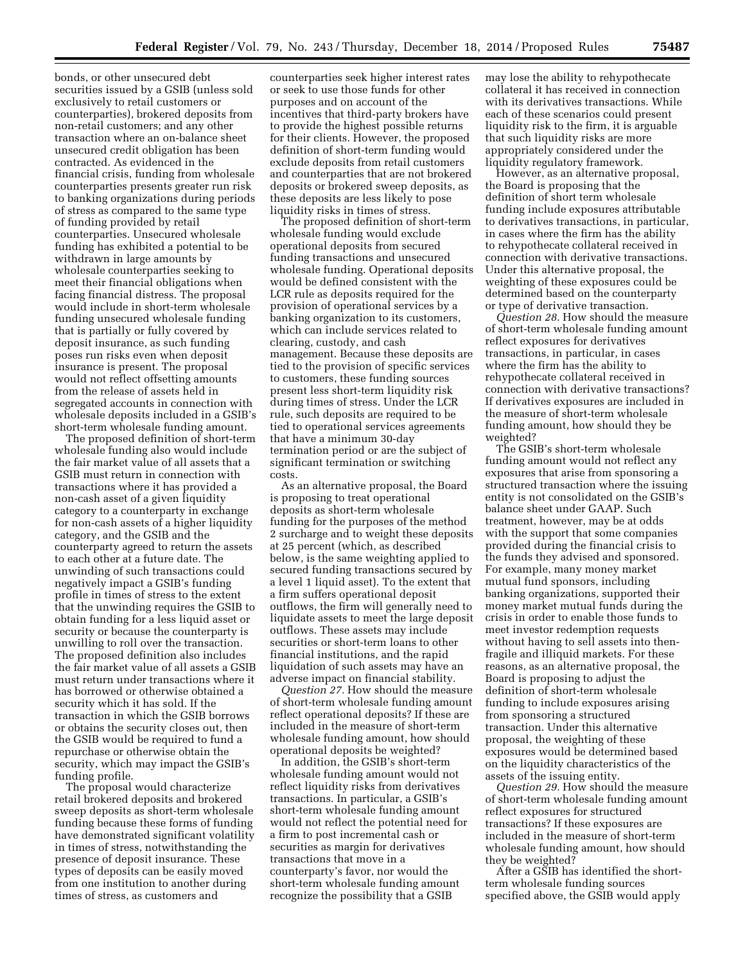bonds, or other unsecured debt securities issued by a GSIB (unless sold exclusively to retail customers or counterparties), brokered deposits from non-retail customers; and any other transaction where an on-balance sheet unsecured credit obligation has been contracted. As evidenced in the financial crisis, funding from wholesale counterparties presents greater run risk to banking organizations during periods of stress as compared to the same type of funding provided by retail counterparties. Unsecured wholesale funding has exhibited a potential to be withdrawn in large amounts by wholesale counterparties seeking to meet their financial obligations when facing financial distress. The proposal would include in short-term wholesale funding unsecured wholesale funding that is partially or fully covered by deposit insurance, as such funding poses run risks even when deposit insurance is present. The proposal would not reflect offsetting amounts from the release of assets held in segregated accounts in connection with wholesale deposits included in a GSIB's short-term wholesale funding amount.

The proposed definition of short-term wholesale funding also would include the fair market value of all assets that a GSIB must return in connection with transactions where it has provided a non-cash asset of a given liquidity category to a counterparty in exchange for non-cash assets of a higher liquidity category, and the GSIB and the counterparty agreed to return the assets to each other at a future date. The unwinding of such transactions could negatively impact a GSIB's funding profile in times of stress to the extent that the unwinding requires the GSIB to obtain funding for a less liquid asset or security or because the counterparty is unwilling to roll over the transaction. The proposed definition also includes the fair market value of all assets a GSIB must return under transactions where it has borrowed or otherwise obtained a security which it has sold. If the transaction in which the GSIB borrows or obtains the security closes out, then the GSIB would be required to fund a repurchase or otherwise obtain the security, which may impact the GSIB's funding profile.

The proposal would characterize retail brokered deposits and brokered sweep deposits as short-term wholesale funding because these forms of funding have demonstrated significant volatility in times of stress, notwithstanding the presence of deposit insurance. These types of deposits can be easily moved from one institution to another during times of stress, as customers and

counterparties seek higher interest rates or seek to use those funds for other purposes and on account of the incentives that third-party brokers have to provide the highest possible returns for their clients. However, the proposed definition of short-term funding would exclude deposits from retail customers and counterparties that are not brokered deposits or brokered sweep deposits, as these deposits are less likely to pose liquidity risks in times of stress.

The proposed definition of short-term wholesale funding would exclude operational deposits from secured funding transactions and unsecured wholesale funding. Operational deposits would be defined consistent with the LCR rule as deposits required for the provision of operational services by a banking organization to its customers, which can include services related to clearing, custody, and cash management. Because these deposits are tied to the provision of specific services to customers, these funding sources present less short-term liquidity risk during times of stress. Under the LCR rule, such deposits are required to be tied to operational services agreements that have a minimum 30-day termination period or are the subject of significant termination or switching costs.

As an alternative proposal, the Board is proposing to treat operational deposits as short-term wholesale funding for the purposes of the method 2 surcharge and to weight these deposits at 25 percent (which, as described below, is the same weighting applied to secured funding transactions secured by a level 1 liquid asset). To the extent that a firm suffers operational deposit outflows, the firm will generally need to liquidate assets to meet the large deposit outflows. These assets may include securities or short-term loans to other financial institutions, and the rapid liquidation of such assets may have an adverse impact on financial stability.

*Question 27.* How should the measure of short-term wholesale funding amount reflect operational deposits? If these are included in the measure of short-term wholesale funding amount, how should operational deposits be weighted?

In addition, the GSIB's short-term wholesale funding amount would not reflect liquidity risks from derivatives transactions. In particular, a GSIB's short-term wholesale funding amount would not reflect the potential need for a firm to post incremental cash or securities as margin for derivatives transactions that move in a counterparty's favor, nor would the short-term wholesale funding amount recognize the possibility that a GSIB

may lose the ability to rehypothecate collateral it has received in connection with its derivatives transactions. While each of these scenarios could present liquidity risk to the firm, it is arguable that such liquidity risks are more appropriately considered under the liquidity regulatory framework.

However, as an alternative proposal, the Board is proposing that the definition of short term wholesale funding include exposures attributable to derivatives transactions, in particular, in cases where the firm has the ability to rehypothecate collateral received in connection with derivative transactions. Under this alternative proposal, the weighting of these exposures could be determined based on the counterparty or type of derivative transaction.

*Question 28.* How should the measure of short-term wholesale funding amount reflect exposures for derivatives transactions, in particular, in cases where the firm has the ability to rehypothecate collateral received in connection with derivative transactions? If derivatives exposures are included in the measure of short-term wholesale funding amount, how should they be weighted?

The GSIB's short-term wholesale funding amount would not reflect any exposures that arise from sponsoring a structured transaction where the issuing entity is not consolidated on the GSIB's balance sheet under GAAP. Such treatment, however, may be at odds with the support that some companies provided during the financial crisis to the funds they advised and sponsored. For example, many money market mutual fund sponsors, including banking organizations, supported their money market mutual funds during the crisis in order to enable those funds to meet investor redemption requests without having to sell assets into thenfragile and illiquid markets. For these reasons, as an alternative proposal, the Board is proposing to adjust the definition of short-term wholesale funding to include exposures arising from sponsoring a structured transaction. Under this alternative proposal, the weighting of these exposures would be determined based on the liquidity characteristics of the assets of the issuing entity.

*Question 29.* How should the measure of short-term wholesale funding amount reflect exposures for structured transactions? If these exposures are included in the measure of short-term wholesale funding amount, how should they be weighted?

After a GSIB has identified the shortterm wholesale funding sources specified above, the GSIB would apply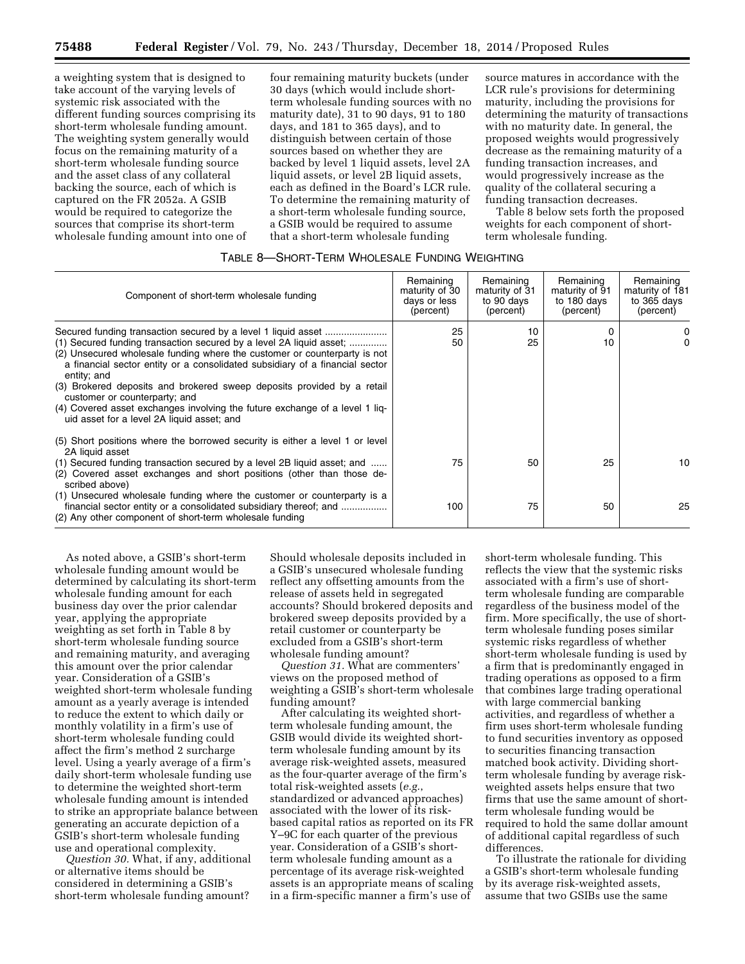a weighting system that is designed to take account of the varying levels of systemic risk associated with the different funding sources comprising its short-term wholesale funding amount. The weighting system generally would focus on the remaining maturity of a short-term wholesale funding source and the asset class of any collateral backing the source, each of which is captured on the FR 2052a. A GSIB would be required to categorize the sources that comprise its short-term wholesale funding amount into one of

four remaining maturity buckets (under 30 days (which would include shortterm wholesale funding sources with no maturity date), 31 to 90 days, 91 to 180 days, and 181 to 365 days), and to distinguish between certain of those sources based on whether they are backed by level 1 liquid assets, level 2A liquid assets, or level 2B liquid assets, each as defined in the Board's LCR rule. To determine the remaining maturity of a short-term wholesale funding source, a GSIB would be required to assume that a short-term wholesale funding

source matures in accordance with the LCR rule's provisions for determining maturity, including the provisions for determining the maturity of transactions with no maturity date. In general, the proposed weights would progressively decrease as the remaining maturity of a funding transaction increases, and would progressively increase as the quality of the collateral securing a funding transaction decreases.

Table 8 below sets forth the proposed weights for each component of shortterm wholesale funding.

# TABLE 8—SHORT-TERM WHOLESALE FUNDING WEIGHTING

| Component of short-term wholesale funding                                                                                                                                                                                                                                                                                                                                                                                                                                               | Remaining<br>maturity of 30<br>days or less<br>(percent) | Remaining<br>maturity of 31<br>to 90 days<br>(percent) | Remaining<br>maturity of 91<br>to 180 days<br>(percent) | Remaining<br>maturity of 181<br>to 365 days<br>(percent) |
|-----------------------------------------------------------------------------------------------------------------------------------------------------------------------------------------------------------------------------------------------------------------------------------------------------------------------------------------------------------------------------------------------------------------------------------------------------------------------------------------|----------------------------------------------------------|--------------------------------------------------------|---------------------------------------------------------|----------------------------------------------------------|
| (1) Secured funding transaction secured by a level 2A liquid asset;<br>(2) Unsecured wholesale funding where the customer or counterparty is not<br>a financial sector entity or a consolidated subsidiary of a financial sector<br>entity; and<br>(3) Brokered deposits and brokered sweep deposits provided by a retail<br>customer or counterparty; and<br>(4) Covered asset exchanges involving the future exchange of a level 1 liq-<br>uid asset for a level 2A liquid asset; and | 25<br>50                                                 | 10<br>25                                               | 0<br>10                                                 | 0<br>0                                                   |
| (5) Short positions where the borrowed security is either a level 1 or level<br>2A liquid asset<br>(1) Secured funding transaction secured by a level 2B liquid asset; and<br>(2) Covered asset exchanges and short positions (other than those de-<br>scribed above)<br>(1) Unsecured wholesale funding where the customer or counterparty is a<br>financial sector entity or a consolidated subsidiary thereof; and<br>(2) Any other component of short-term wholesale funding        | 75<br>100                                                | 50<br>75                                               | 25<br>50                                                | 10<br>25                                                 |

As noted above, a GSIB's short-term wholesale funding amount would be determined by calculating its short-term wholesale funding amount for each business day over the prior calendar year, applying the appropriate weighting as set forth in Table 8 by short-term wholesale funding source and remaining maturity, and averaging this amount over the prior calendar year. Consideration of a GSIB's weighted short-term wholesale funding amount as a yearly average is intended to reduce the extent to which daily or monthly volatility in a firm's use of short-term wholesale funding could affect the firm's method 2 surcharge level. Using a yearly average of a firm's daily short-term wholesale funding use to determine the weighted short-term wholesale funding amount is intended to strike an appropriate balance between generating an accurate depiction of a GSIB's short-term wholesale funding use and operational complexity.

*Question 30.* What, if any, additional or alternative items should be considered in determining a GSIB's short-term wholesale funding amount?

Should wholesale deposits included in a GSIB's unsecured wholesale funding reflect any offsetting amounts from the release of assets held in segregated accounts? Should brokered deposits and brokered sweep deposits provided by a retail customer or counterparty be excluded from a GSIB's short-term wholesale funding amount?

*Question 31.* What are commenters' views on the proposed method of weighting a GSIB's short-term wholesale funding amount?

After calculating its weighted shortterm wholesale funding amount, the GSIB would divide its weighted shortterm wholesale funding amount by its average risk-weighted assets, measured as the four-quarter average of the firm's total risk-weighted assets (*e.g.*, standardized or advanced approaches) associated with the lower of its riskbased capital ratios as reported on its FR Y–9C for each quarter of the previous year. Consideration of a GSIB's shortterm wholesale funding amount as a percentage of its average risk-weighted assets is an appropriate means of scaling in a firm-specific manner a firm's use of

short-term wholesale funding. This reflects the view that the systemic risks associated with a firm's use of shortterm wholesale funding are comparable regardless of the business model of the firm. More specifically, the use of shortterm wholesale funding poses similar systemic risks regardless of whether short-term wholesale funding is used by a firm that is predominantly engaged in trading operations as opposed to a firm that combines large trading operational with large commercial banking activities, and regardless of whether a firm uses short-term wholesale funding to fund securities inventory as opposed to securities financing transaction matched book activity. Dividing shortterm wholesale funding by average riskweighted assets helps ensure that two firms that use the same amount of shortterm wholesale funding would be required to hold the same dollar amount of additional capital regardless of such differences.

To illustrate the rationale for dividing a GSIB's short-term wholesale funding by its average risk-weighted assets, assume that two GSIBs use the same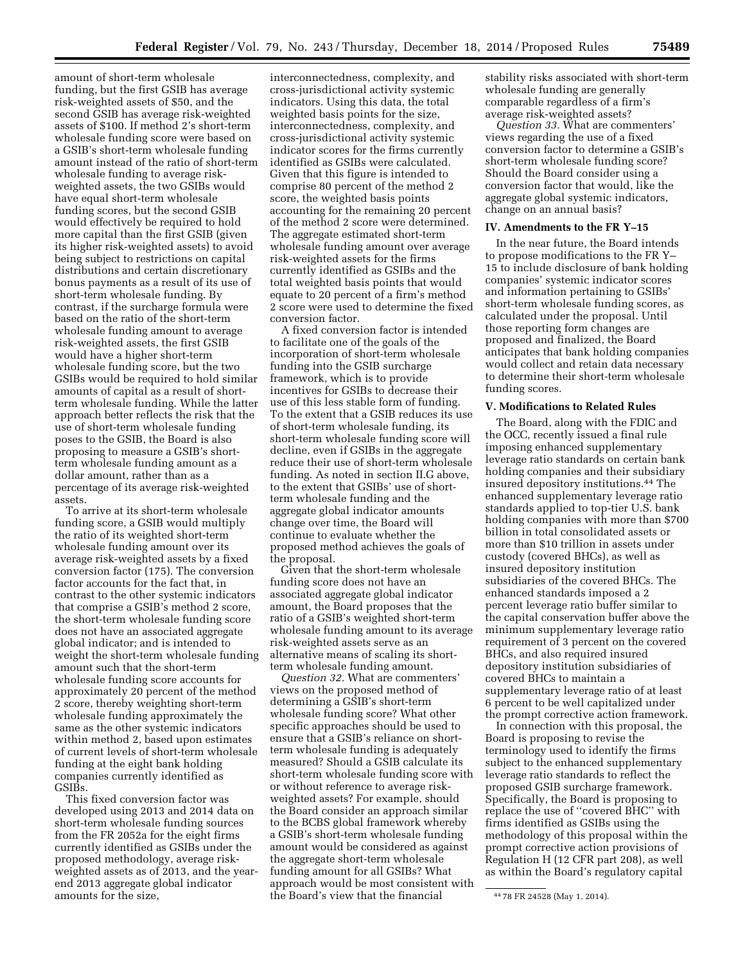amount of short-term wholesale funding, but the first GSIB has average risk-weighted assets of \$50, and the second GSIB has average risk-weighted assets of \$100. If method 2's short-term wholesale funding score were based on a GSIB's short-term wholesale funding amount instead of the ratio of short-term wholesale funding to average riskweighted assets, the two GSIBs would have equal short-term wholesale funding scores, but the second GSIB would effectively be required to hold more capital than the first GSIB (given its higher risk-weighted assets) to avoid being subject to restrictions on capital distributions and certain discretionary bonus payments as a result of its use of short-term wholesale funding. By contrast, if the surcharge formula were based on the ratio of the short-term wholesale funding amount to average risk-weighted assets, the first GSIB would have a higher short-term wholesale funding score, but the two GSIBs would be required to hold similar amounts of capital as a result of shortterm wholesale funding. While the latter approach better reflects the risk that the use of short-term wholesale funding poses to the GSIB, the Board is also proposing to measure a GSIB's shortterm wholesale funding amount as a dollar amount, rather than as a percentage of its average risk-weighted assets.

To arrive at its short-term wholesale funding score, a GSIB would multiply the ratio of its weighted short-term wholesale funding amount over its average risk-weighted assets by a fixed conversion factor (175). The conversion factor accounts for the fact that, in contrast to the other systemic indicators that comprise a GSIB's method 2 score, the short-term wholesale funding score does not have an associated aggregate global indicator; and is intended to weight the short-term wholesale funding amount such that the short-term wholesale funding score accounts for approximately 20 percent of the method 2 score, thereby weighting short-term wholesale funding approximately the same as the other systemic indicators within method 2, based upon estimates of current levels of short-term wholesale funding at the eight bank holding companies currently identified as GSIBs.

This fixed conversion factor was developed using 2013 and 2014 data on short-term wholesale funding sources from the FR 2052a for the eight firms currently identified as GSIBs under the proposed methodology, average riskweighted assets as of 2013, and the yearend 2013 aggregate global indicator amounts for the size,

interconnectedness, complexity, and cross-jurisdictional activity systemic indicators. Using this data, the total weighted basis points for the size, interconnectedness, complexity, and cross-jurisdictional activity systemic indicator scores for the firms currently identified as GSIBs were calculated. Given that this figure is intended to comprise 80 percent of the method 2 score, the weighted basis points accounting for the remaining 20 percent of the method 2 score were determined. The aggregate estimated short-term wholesale funding amount over average risk-weighted assets for the firms currently identified as GSIBs and the total weighted basis points that would equate to 20 percent of a firm's method 2 score were used to determine the fixed conversion factor.

A fixed conversion factor is intended to facilitate one of the goals of the incorporation of short-term wholesale funding into the GSIB surcharge framework, which is to provide incentives for GSIBs to decrease their use of this less stable form of funding. To the extent that a GSIB reduces its use of short-term wholesale funding, its short-term wholesale funding score will decline, even if GSIBs in the aggregate reduce their use of short-term wholesale funding. As noted in section II.G above, to the extent that GSIBs' use of shortterm wholesale funding and the aggregate global indicator amounts change over time, the Board will continue to evaluate whether the proposed method achieves the goals of the proposal.

Given that the short-term wholesale funding score does not have an associated aggregate global indicator amount, the Board proposes that the ratio of a GSIB's weighted short-term wholesale funding amount to its average risk-weighted assets serve as an alternative means of scaling its shortterm wholesale funding amount.

*Question 32.* What are commenters' views on the proposed method of determining a GSIB's short-term wholesale funding score? What other specific approaches should be used to ensure that a GSIB's reliance on shortterm wholesale funding is adequately measured? Should a GSIB calculate its short-term wholesale funding score with or without reference to average riskweighted assets? For example, should the Board consider an approach similar to the BCBS global framework whereby a GSIB's short-term wholesale funding amount would be considered as against the aggregate short-term wholesale funding amount for all GSIBs? What approach would be most consistent with the Board's view that the financial

stability risks associated with short-term wholesale funding are generally comparable regardless of a firm's average risk-weighted assets?

*Question 33.* What are commenters' views regarding the use of a fixed conversion factor to determine a GSIB's short-term wholesale funding score? Should the Board consider using a conversion factor that would, like the aggregate global systemic indicators, change on an annual basis?

#### **IV. Amendments to the FR Y–15**

In the near future, the Board intends to propose modifications to the FR Y– 15 to include disclosure of bank holding companies' systemic indicator scores and information pertaining to GSIBs' short-term wholesale funding scores, as calculated under the proposal. Until those reporting form changes are proposed and finalized, the Board anticipates that bank holding companies would collect and retain data necessary to determine their short-term wholesale funding scores.

## **V. Modifications to Related Rules**

The Board, along with the FDIC and the OCC, recently issued a final rule imposing enhanced supplementary leverage ratio standards on certain bank holding companies and their subsidiary insured depository institutions.44 The enhanced supplementary leverage ratio standards applied to top-tier U.S. bank holding companies with more than \$700 billion in total consolidated assets or more than \$10 trillion in assets under custody (covered BHCs), as well as insured depository institution subsidiaries of the covered BHCs. The enhanced standards imposed a 2 percent leverage ratio buffer similar to the capital conservation buffer above the minimum supplementary leverage ratio requirement of 3 percent on the covered BHCs, and also required insured depository institution subsidiaries of covered BHCs to maintain a supplementary leverage ratio of at least 6 percent to be well capitalized under the prompt corrective action framework.

In connection with this proposal, the Board is proposing to revise the terminology used to identify the firms subject to the enhanced supplementary leverage ratio standards to reflect the proposed GSIB surcharge framework. Specifically, the Board is proposing to replace the use of ''covered BHC'' with firms identified as GSIBs using the methodology of this proposal within the prompt corrective action provisions of Regulation H (12 CFR part 208), as well as within the Board's regulatory capital

<sup>44</sup> 78 FR 24528 (May 1, 2014).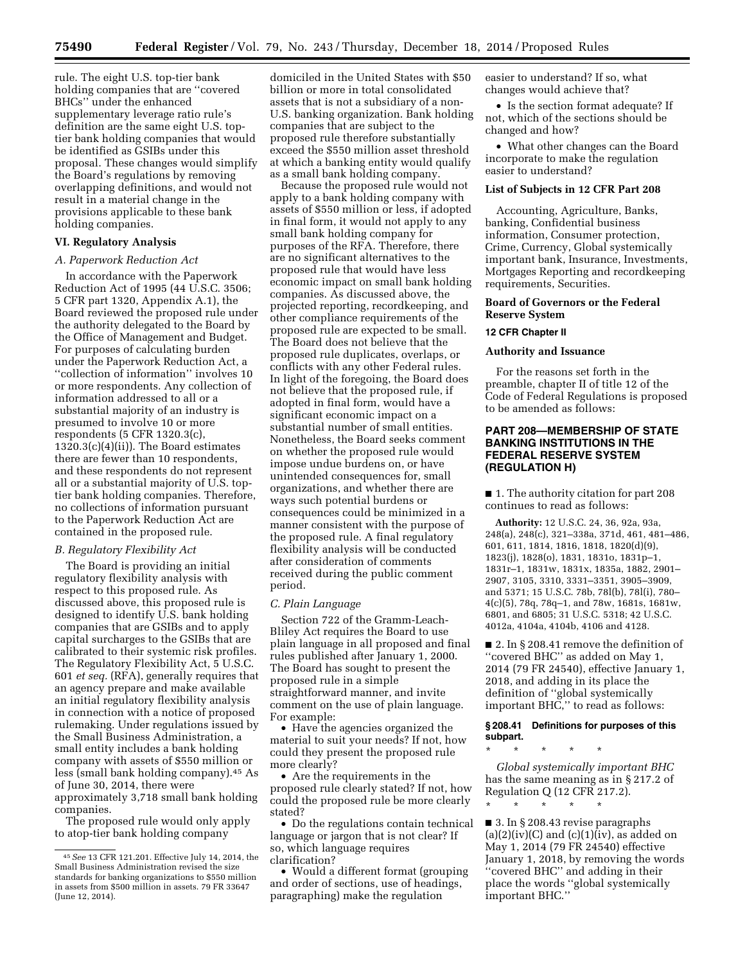rule. The eight U.S. top-tier bank holding companies that are ''covered BHCs'' under the enhanced supplementary leverage ratio rule's definition are the same eight U.S. toptier bank holding companies that would be identified as GSIBs under this proposal. These changes would simplify the Board's regulations by removing overlapping definitions, and would not result in a material change in the provisions applicable to these bank holding companies.

# **VI. Regulatory Analysis**

#### *A. Paperwork Reduction Act*

In accordance with the Paperwork Reduction Act of 1995 (44 U.S.C. 3506; 5 CFR part 1320, Appendix A.1), the Board reviewed the proposed rule under the authority delegated to the Board by the Office of Management and Budget. For purposes of calculating burden under the Paperwork Reduction Act, a ''collection of information'' involves 10 or more respondents. Any collection of information addressed to all or a substantial majority of an industry is presumed to involve 10 or more respondents (5 CFR 1320.3(c),  $1320.3(c)(4)(ii)$ . The Board estimates there are fewer than 10 respondents, and these respondents do not represent all or a substantial majority of U.S. toptier bank holding companies. Therefore, no collections of information pursuant to the Paperwork Reduction Act are contained in the proposed rule.

#### *B. Regulatory Flexibility Act*

The Board is providing an initial regulatory flexibility analysis with respect to this proposed rule. As discussed above, this proposed rule is designed to identify U.S. bank holding companies that are GSIBs and to apply capital surcharges to the GSIBs that are calibrated to their systemic risk profiles. The Regulatory Flexibility Act, 5 U.S.C. 601 *et seq.* (RFA), generally requires that an agency prepare and make available an initial regulatory flexibility analysis in connection with a notice of proposed rulemaking. Under regulations issued by the Small Business Administration, a small entity includes a bank holding company with assets of \$550 million or less (small bank holding company).45 As of June 30, 2014, there were approximately 3,718 small bank holding companies.

The proposed rule would only apply to atop-tier bank holding company

domiciled in the United States with \$50 billion or more in total consolidated assets that is not a subsidiary of a non-U.S. banking organization. Bank holding companies that are subject to the proposed rule therefore substantially exceed the \$550 million asset threshold at which a banking entity would qualify as a small bank holding company.

Because the proposed rule would not apply to a bank holding company with assets of \$550 million or less, if adopted in final form, it would not apply to any small bank holding company for purposes of the RFA. Therefore, there are no significant alternatives to the proposed rule that would have less economic impact on small bank holding companies. As discussed above, the projected reporting, recordkeeping, and other compliance requirements of the proposed rule are expected to be small. The Board does not believe that the proposed rule duplicates, overlaps, or conflicts with any other Federal rules. In light of the foregoing, the Board does not believe that the proposed rule, if adopted in final form, would have a significant economic impact on a substantial number of small entities. Nonetheless, the Board seeks comment on whether the proposed rule would impose undue burdens on, or have unintended consequences for, small organizations, and whether there are ways such potential burdens or consequences could be minimized in a manner consistent with the purpose of the proposed rule. A final regulatory flexibility analysis will be conducted after consideration of comments received during the public comment period.

#### *C. Plain Language*

Section 722 of the Gramm-Leach-Bliley Act requires the Board to use plain language in all proposed and final rules published after January 1, 2000. The Board has sought to present the proposed rule in a simple straightforward manner, and invite comment on the use of plain language. For example:

• Have the agencies organized the material to suit your needs? If not, how could they present the proposed rule more clearly?

• Are the requirements in the proposed rule clearly stated? If not, how could the proposed rule be more clearly stated?

• Do the regulations contain technical language or jargon that is not clear? If so, which language requires clarification?

• Would a different format (grouping and order of sections, use of headings, paragraphing) make the regulation

easier to understand? If so, what changes would achieve that?

• Is the section format adequate? If not, which of the sections should be changed and how?

• What other changes can the Board incorporate to make the regulation easier to understand?

# **List of Subjects in 12 CFR Part 208**

Accounting, Agriculture, Banks, banking, Confidential business information, Consumer protection, Crime, Currency, Global systemically important bank, Insurance, Investments, Mortgages Reporting and recordkeeping requirements, Securities.

# **Board of Governors or the Federal Reserve System**

## **12 CFR Chapter II**

#### **Authority and Issuance**

For the reasons set forth in the preamble, chapter II of title 12 of the Code of Federal Regulations is proposed to be amended as follows:

# **PART 208—MEMBERSHIP OF STATE BANKING INSTITUTIONS IN THE FEDERAL RESERVE SYSTEM (REGULATION H)**

■ 1. The authority citation for part 208 continues to read as follows:

**Authority:** 12 U.S.C. 24, 36, 92a, 93a, 248(a), 248(c), 321–338a, 371d, 461, 481–486, 601, 611, 1814, 1816, 1818, 1820(d)(9), 1823(j), 1828(o), 1831, 1831o, 1831p–1, 1831r–1, 1831w, 1831x, 1835a, 1882, 2901– 2907, 3105, 3310, 3331–3351, 3905–3909, and 5371; 15 U.S.C. 78b, 78l(b), 78l(i), 780– 4(c)(5), 78q, 78q–1, and 78w, 1681s, 1681w, 6801, and 6805; 31 U.S.C. 5318; 42 U.S.C. 4012a, 4104a, 4104b, 4106 and 4128.

■ 2. In § 208.41 remove the definition of ''covered BHC'' as added on May 1, 2014 (79 FR 24540), effective January 1, 2018, and adding in its place the definition of ''global systemically important BHC,'' to read as follows:

#### **§ 208.41 Definitions for purposes of this subpart.**

\* \* \* \* \*

*Global systemically important BHC*  has the same meaning as in § 217.2 of Regulation Q (12 CFR 217.2).

\* \* \* \* \*

■ 3. In § 208.43 revise paragraphs  $(a)(2)(iv)(C)$  and  $(c)(1)(iv)$ , as added on May 1, 2014 (79 FR 24540) effective January 1, 2018, by removing the words ''covered BHC'' and adding in their place the words ''global systemically important BHC.''

<sup>45</sup>*See* 13 CFR 121.201. Effective July 14, 2014, the Small Business Administration revised the size standards for banking organizations to \$550 million in assets from \$500 million in assets. 79 FR 33647 (June 12, 2014).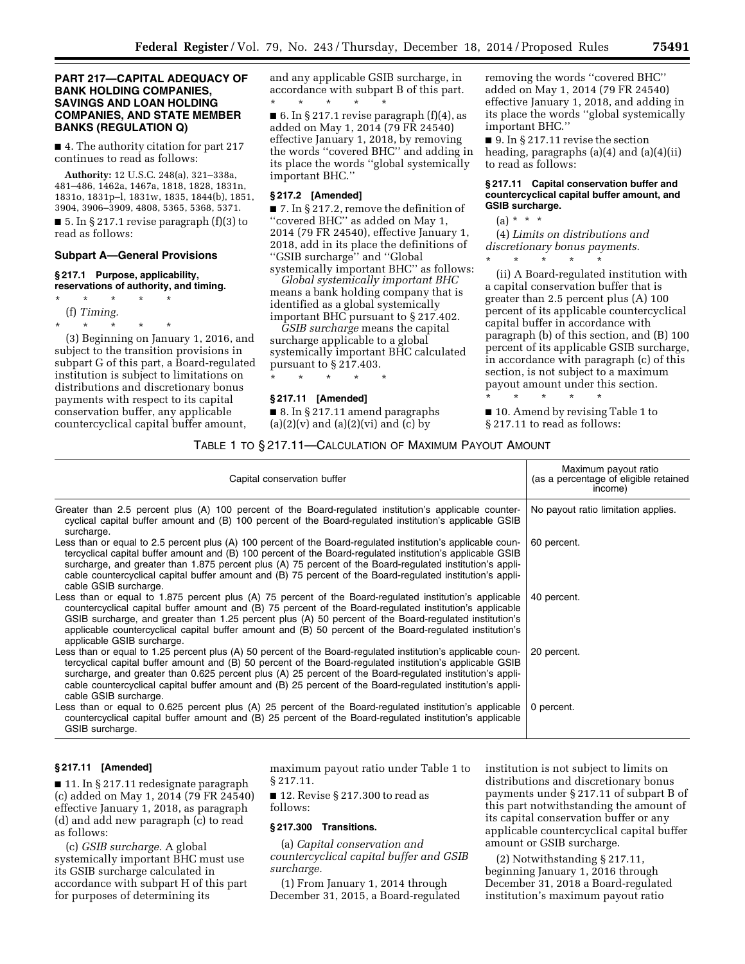## **PART 217—CAPITAL ADEQUACY OF BANK HOLDING COMPANIES, SAVINGS AND LOAN HOLDING COMPANIES, AND STATE MEMBER BANKS (REGULATION Q)**

■ 4. The authority citation for part 217 continues to read as follows:

**Authority:** 12 U.S.C. 248(a), 321–338a, 481–486, 1462a, 1467a, 1818, 1828, 1831n, 1831o, 1831p–l, 1831w, 1835, 1844(b), 1851, 3904, 3906–3909, 4808, 5365, 5368, 5371.

■ 5. In § 217.1 revise paragraph (f)(3) to read as follows:

#### **Subpart A—General Provisions**

#### **§ 217.1 Purpose, applicability, reservations of authority, and timing.**

- \* \* \* \* \*
- (f) *Timing.*

\* \* \* \* \*

(3) Beginning on January 1, 2016, and subject to the transition provisions in subpart G of this part, a Board-regulated institution is subject to limitations on distributions and discretionary bonus payments with respect to its capital conservation buffer, any applicable countercyclical capital buffer amount,

and any applicable GSIB surcharge, in accordance with subpart B of this part. \* \* \* \* \*

■ 6. In § 217.1 revise paragraph  $(f)(4)$ , as added on May 1, 2014 (79 FR 24540) effective January 1, 2018, by removing the words ''covered BHC'' and adding in its place the words ''global systemically important BHC.''

#### **§ 217.2 [Amended]**

■ 7. In § 217.2, remove the definition of ''covered BHC'' as added on May 1, 2014 (79 FR 24540), effective January 1, 2018, add in its place the definitions of ''GSIB surcharge'' and ''Global systemically important BHC'' as follows:

*Global systemically important BHC*  means a bank holding company that is identified as a global systemically important BHC pursuant to § 217.402.

*GSIB surcharge* means the capital surcharge applicable to a global systemically important BHC calculated pursuant to § 217.403.

\* \* \* \* \*

#### **§ 217.11 [Amended]**

■ 8. In § 217.11 amend paragraphs  $(a)(2)(v)$  and  $(a)(2)(vi)$  and  $(c)$  by

removing the words ''covered BHC'' added on May 1, 2014 (79 FR 24540) effective January 1, 2018, and adding in its place the words ''global systemically important BHC.''

■ 9. In § 217.11 revise the section heading, paragraphs (a)(4) and (a)(4)(ii) to read as follows:

#### **§ 217.11 Capital conservation buffer and countercyclical capital buffer amount, and GSIB surcharge.**

# $(a) * * * *$

(4) *Limits on distributions and discretionary bonus payments.*  \* \* \* \* \*

(ii) A Board-regulated institution with a capital conservation buffer that is greater than 2.5 percent plus (A) 100 percent of its applicable countercyclical capital buffer in accordance with paragraph (b) of this section, and (B) 100 percent of its applicable GSIB surcharge, in accordance with paragraph (c) of this section, is not subject to a maximum payout amount under this section.

\* \* \* \* \* ■ 10. Amend by revising Table 1 to § 217.11 to read as follows:

# TABLE 1 TO § 217.11—CALCULATION OF MAXIMUM PAYOUT AMOUNT

| Capital conservation buffer                                                                                                                                                                                                                                                                                                                                                                                                                                                    | Maximum payout ratio<br>(as a percentage of eligible retained<br>income) |
|--------------------------------------------------------------------------------------------------------------------------------------------------------------------------------------------------------------------------------------------------------------------------------------------------------------------------------------------------------------------------------------------------------------------------------------------------------------------------------|--------------------------------------------------------------------------|
| Greater than 2.5 percent plus (A) 100 percent of the Board-regulated institution's applicable counter-<br>cyclical capital buffer amount and (B) 100 percent of the Board-regulated institution's applicable GSIB<br>surcharge.                                                                                                                                                                                                                                                | No payout ratio limitation applies.                                      |
| Less than or equal to 2.5 percent plus (A) 100 percent of the Board-regulated institution's applicable coun-<br>tercyclical capital buffer amount and (B) 100 percent of the Board-regulated institution's applicable GSIB<br>surcharge, and greater than 1.875 percent plus (A) 75 percent of the Board-regulated institution's appli-<br>cable countercyclical capital buffer amount and (B) 75 percent of the Board-regulated institution's appli-<br>cable GSIB surcharge. | 60 percent.                                                              |
| Less than or equal to 1.875 percent plus (A) 75 percent of the Board-regulated institution's applicable<br>countercyclical capital buffer amount and (B) 75 percent of the Board-regulated institution's applicable<br>GSIB surcharge, and greater than 1.25 percent plus (A) 50 percent of the Board-regulated institution's<br>applicable countercyclical capital buffer amount and (B) 50 percent of the Board-regulated institution's<br>applicable GSIB surcharge.        | 40 percent.                                                              |
| Less than or equal to 1.25 percent plus (A) 50 percent of the Board-regulated institution's applicable coun-<br>tercyclical capital buffer amount and (B) 50 percent of the Board-regulated institution's applicable GSIB<br>surcharge, and greater than 0.625 percent plus (A) 25 percent of the Board-regulated institution's appli-<br>cable countercyclical capital buffer amount and (B) 25 percent of the Board-regulated institution's appli-<br>cable GSIB surcharge.  | 20 percent.                                                              |
| Less than or equal to 0.625 percent plus (A) 25 percent of the Board-regulated institution's applicable<br>countercyclical capital buffer amount and (B) 25 percent of the Board-regulated institution's applicable<br>GSIB surcharge.                                                                                                                                                                                                                                         | 0 percent.                                                               |

#### **§ 217.11 [Amended]**

■ 11. In § 217.11 redesignate paragraph (c) added on May 1, 2014 (79 FR 24540) effective January 1, 2018, as paragraph (d) and add new paragraph (c) to read as follows:

(c) *GSIB surcharge.* A global systemically important BHC must use its GSIB surcharge calculated in accordance with subpart H of this part for purposes of determining its

maximum payout ratio under Table 1 to § 217.11.

■ 12. Revise § 217.300 to read as follows:

# **§ 217.300 Transitions.**

(a) *Capital conservation and countercyclical capital buffer and GSIB surcharge.* 

(1) From January 1, 2014 through December 31, 2015, a Board-regulated institution is not subject to limits on distributions and discretionary bonus payments under § 217.11 of subpart B of this part notwithstanding the amount of its capital conservation buffer or any applicable countercyclical capital buffer amount or GSIB surcharge.

(2) Notwithstanding § 217.11, beginning January 1, 2016 through December 31, 2018 a Board-regulated institution's maximum payout ratio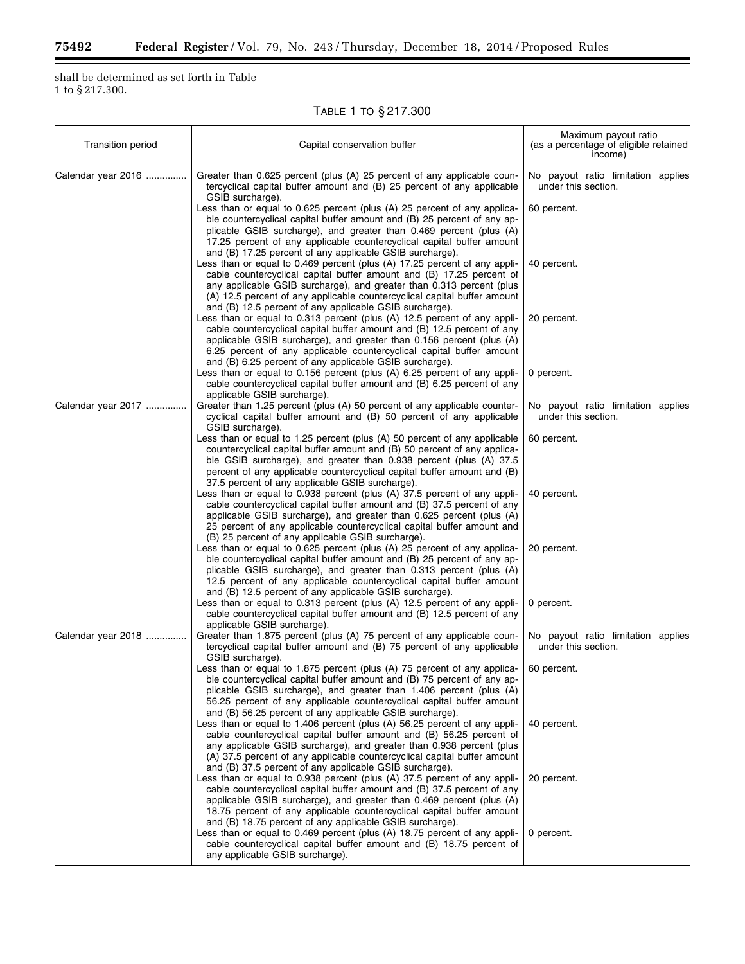Ξ

shall be determined as set forth in Table  $1$  to  $\S\,217.300.$ 

|  | Table 1 to § 217.300 |
|--|----------------------|
|--|----------------------|

| <b>Transition period</b><br>Capital conservation buffer |                                                                                                                                                                                                                                                                                                                                                                  | Maximum payout ratio<br>(as a percentage of eligible retained<br>income) |  |  |
|---------------------------------------------------------|------------------------------------------------------------------------------------------------------------------------------------------------------------------------------------------------------------------------------------------------------------------------------------------------------------------------------------------------------------------|--------------------------------------------------------------------------|--|--|
| Calendar year 2016                                      | Greater than 0.625 percent (plus (A) 25 percent of any applicable coun-<br>tercyclical capital buffer amount and (B) 25 percent of any applicable<br>GSIB surcharge).                                                                                                                                                                                            | No payout ratio limitation applies<br>under this section.                |  |  |
|                                                         | Less than or equal to 0.625 percent (plus (A) 25 percent of any applica-<br>ble countercyclical capital buffer amount and (B) 25 percent of any ap-<br>plicable GSIB surcharge), and greater than 0.469 percent (plus (A)<br>17.25 percent of any applicable countercyclical capital buffer amount<br>and (B) 17.25 percent of any applicable GSIB surcharge).   | 60 percent.                                                              |  |  |
|                                                         | Less than or equal to 0.469 percent (plus (A) 17.25 percent of any appli-<br>cable countercyclical capital buffer amount and (B) 17.25 percent of<br>any applicable GSIB surcharge), and greater than 0.313 percent (plus<br>(A) 12.5 percent of any applicable countercyclical capital buffer amount<br>and (B) 12.5 percent of any applicable GSIB surcharge). | 40 percent.                                                              |  |  |
|                                                         | Less than or equal to 0.313 percent (plus (A) 12.5 percent of any appli-<br>cable countercyclical capital buffer amount and (B) 12.5 percent of any<br>applicable GSIB surcharge), and greater than 0.156 percent (plus (A)<br>6.25 percent of any applicable countercyclical capital buffer amount<br>and (B) 6.25 percent of any applicable GSIB surcharge).   | 20 percent.                                                              |  |  |
|                                                         | Less than or equal to 0.156 percent (plus (A) 6.25 percent of any appli-<br>cable countercyclical capital buffer amount and (B) 6.25 percent of any<br>applicable GSIB surcharge).                                                                                                                                                                               | 0 percent.                                                               |  |  |
| Calendar year 2017                                      | Greater than 1.25 percent (plus (A) 50 percent of any applicable counter-<br>cyclical capital buffer amount and (B) 50 percent of any applicable<br>GSIB surcharge).                                                                                                                                                                                             | No payout ratio limitation applies<br>under this section.                |  |  |
|                                                         | Less than or equal to 1.25 percent (plus (A) 50 percent of any applicable<br>countercyclical capital buffer amount and (B) 50 percent of any applica-<br>ble GSIB surcharge), and greater than 0.938 percent (plus (A) 37.5<br>percent of any applicable countercyclical capital buffer amount and (B)<br>37.5 percent of any applicable GSIB surcharge).        | 60 percent.                                                              |  |  |
|                                                         | Less than or equal to 0.938 percent (plus (A) 37.5 percent of any appli-<br>cable countercyclical capital buffer amount and (B) 37.5 percent of any<br>applicable GSIB surcharge), and greater than 0.625 percent (plus (A)<br>25 percent of any applicable countercyclical capital buffer amount and<br>(B) 25 percent of any applicable GSIB surcharge).       | 40 percent.                                                              |  |  |
|                                                         | Less than or equal to 0.625 percent (plus (A) 25 percent of any applica-<br>ble countercyclical capital buffer amount and (B) 25 percent of any ap-<br>plicable GSIB surcharge), and greater than 0.313 percent (plus (A)<br>12.5 percent of any applicable countercyclical capital buffer amount<br>and (B) 12.5 percent of any applicable GSIB surcharge).     | 20 percent.                                                              |  |  |
|                                                         | Less than or equal to 0.313 percent (plus (A) 12.5 percent of any appli-<br>cable countercyclical capital buffer amount and (B) 12.5 percent of any<br>applicable GSIB surcharge).                                                                                                                                                                               | 0 percent.                                                               |  |  |
| Calendar year 2018                                      | Greater than 1.875 percent (plus (A) 75 percent of any applicable coun-<br>tercyclical capital buffer amount and (B) 75 percent of any applicable<br>GSIB surcharge).                                                                                                                                                                                            | No payout ratio limitation applies<br>under this section.                |  |  |
|                                                         | Less than or equal to 1.875 percent (plus (A) 75 percent of any applica-<br>ble countercyclical capital buffer amount and (B) 75 percent of any ap-<br>plicable GSIB surcharge), and greater than 1.406 percent (plus (A)<br>56.25 percent of any applicable countercyclical capital buffer amount<br>and (B) 56.25 percent of any applicable GSIB surcharge).   | 60 percent.                                                              |  |  |
|                                                         | Less than or equal to 1.406 percent (plus (A) 56.25 percent of any appli-<br>cable countercyclical capital buffer amount and (B) 56.25 percent of<br>any applicable GSIB surcharge), and greater than 0.938 percent (plus<br>(A) 37.5 percent of any applicable countercyclical capital buffer amount<br>and (B) 37.5 percent of any applicable GSIB surcharge). | 40 percent.                                                              |  |  |
|                                                         | Less than or equal to 0.938 percent (plus (A) 37.5 percent of any appli-<br>cable countercyclical capital buffer amount and (B) 37.5 percent of any<br>applicable GSIB surcharge), and greater than 0.469 percent (plus (A)<br>18.75 percent of any applicable countercyclical capital buffer amount<br>and (B) 18.75 percent of any applicable GSIB surcharge). | 20 percent.                                                              |  |  |
|                                                         | Less than or equal to 0.469 percent (plus (A) 18.75 percent of any appli-<br>cable countercyclical capital buffer amount and (B) 18.75 percent of<br>any applicable GSIB surcharge).                                                                                                                                                                             | 0 percent.                                                               |  |  |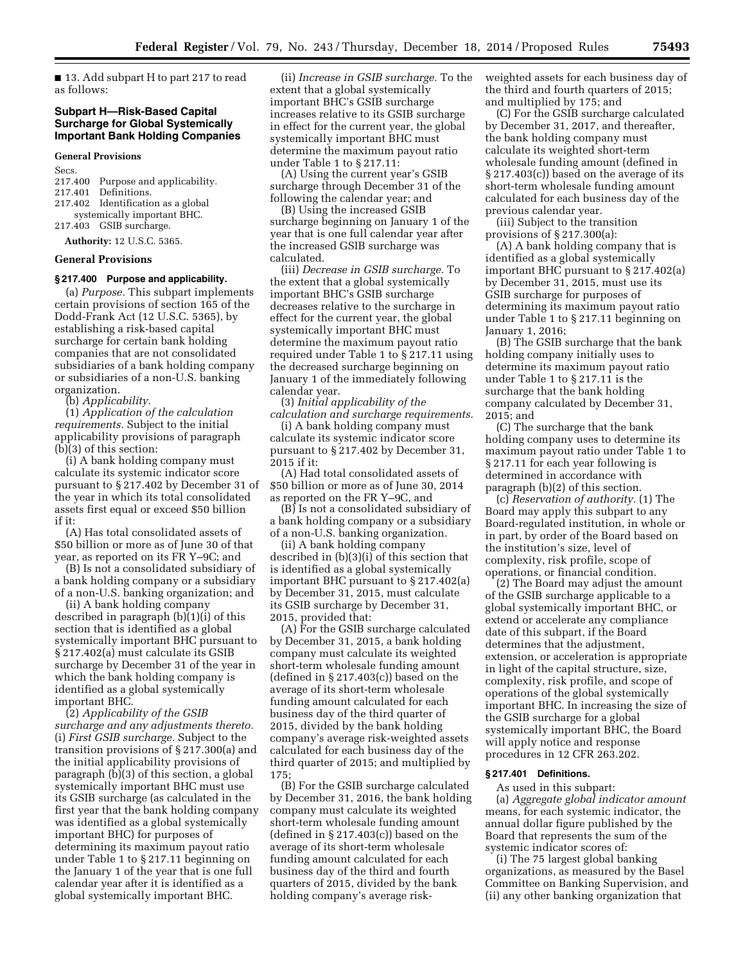■ 13. Add subpart H to part 217 to read as follows:

# **Subpart H—Risk-Based Capital Surcharge for Global Systemically Important Bank Holding Companies**

#### **General Provisions**

Secs.

- 217.400 Purpose and applicability.
- Definitions.
- 217.402 Identification as a global systemically important BHC.
- 217.403 GSIB surcharge.

**Authority:** 12 U.S.C. 5365.

#### **General Provisions**

# **§ 217.400 Purpose and applicability.**

(a) *Purpose.* This subpart implements certain provisions of section 165 of the Dodd-Frank Act (12 U.S.C. 5365), by establishing a risk-based capital surcharge for certain bank holding companies that are not consolidated subsidiaries of a bank holding company or subsidiaries of a non-U.S. banking organization.

(b) *Applicability.* 

(1) *Application of the calculation requirements.* Subject to the initial applicability provisions of paragraph (b)(3) of this section:

(i) A bank holding company must calculate its systemic indicator score pursuant to § 217.402 by December 31 of the year in which its total consolidated assets first equal or exceed \$50 billion if it:

(A) Has total consolidated assets of \$50 billion or more as of June 30 of that year, as reported on its FR Y–9C; and

(B) Is not a consolidated subsidiary of a bank holding company or a subsidiary of a non-U.S. banking organization; and

(ii) A bank holding company described in paragraph (b)(1)(i) of this section that is identified as a global systemically important BHC pursuant to § 217.402(a) must calculate its GSIB surcharge by December 31 of the year in which the bank holding company is identified as a global systemically important BHC.

(2) *Applicability of the GSIB surcharge and any adjustments thereto.*  (i) *First GSIB surcharge.* Subject to the transition provisions of § 217.300(a) and the initial applicability provisions of paragraph (b)(3) of this section, a global systemically important BHC must use its GSIB surcharge (as calculated in the first year that the bank holding company was identified as a global systemically important BHC) for purposes of determining its maximum payout ratio under Table 1 to § 217.11 beginning on the January 1 of the year that is one full calendar year after it is identified as a global systemically important BHC.

(ii) *Increase in GSIB surcharge.* To the extent that a global systemically important BHC's GSIB surcharge increases relative to its GSIB surcharge in effect for the current year, the global systemically important BHC must determine the maximum payout ratio under Table 1 to § 217.11:

(A) Using the current year's GSIB surcharge through December 31 of the following the calendar year; and

(B) Using the increased GSIB surcharge beginning on January 1 of the year that is one full calendar year after the increased GSIB surcharge was calculated.

(iii) *Decrease in GSIB surcharge.* To the extent that a global systemically important BHC's GSIB surcharge decreases relative to the surcharge in effect for the current year, the global systemically important BHC must determine the maximum payout ratio required under Table 1 to § 217.11 using the decreased surcharge beginning on January 1 of the immediately following calendar year.

(3) *Initial applicability of the calculation and surcharge requirements.* 

(i) A bank holding company must calculate its systemic indicator score pursuant to § 217.402 by December 31, 2015 if it:

(A) Had total consolidated assets of \$50 billion or more as of June 30, 2014 as reported on the FR Y–9C, and

(B) Is not a consolidated subsidiary of a bank holding company or a subsidiary of a non-U.S. banking organization.

(ii) A bank holding company described in (b)(3)(i) of this section that is identified as a global systemically important BHC pursuant to § 217.402(a) by December 31, 2015, must calculate its GSIB surcharge by December 31, 2015, provided that:

(A) For the GSIB surcharge calculated by December 31, 2015, a bank holding company must calculate its weighted short-term wholesale funding amount (defined in  $\S 217.403(c)$ ) based on the average of its short-term wholesale funding amount calculated for each business day of the third quarter of 2015, divided by the bank holding company's average risk-weighted assets calculated for each business day of the third quarter of 2015; and multiplied by 175;

(B) For the GSIB surcharge calculated by December 31, 2016, the bank holding company must calculate its weighted short-term wholesale funding amount (defined in  $\S 217.403(c)$ ) based on the average of its short-term wholesale funding amount calculated for each business day of the third and fourth quarters of 2015, divided by the bank holding company's average riskweighted assets for each business day of the third and fourth quarters of 2015; and multiplied by 175; and

(C) For the GSIB surcharge calculated by December 31, 2017, and thereafter, the bank holding company must calculate its weighted short-term wholesale funding amount (defined in § 217.403(c)) based on the average of its short-term wholesale funding amount calculated for each business day of the previous calendar year.

(iii) Subject to the transition provisions of § 217.300(a):

(A) A bank holding company that is identified as a global systemically important BHC pursuant to § 217.402(a) by December 31, 2015, must use its GSIB surcharge for purposes of determining its maximum payout ratio under Table 1 to § 217.11 beginning on January 1, 2016;

(B) The GSIB surcharge that the bank holding company initially uses to determine its maximum payout ratio under Table 1 to § 217.11 is the surcharge that the bank holding company calculated by December 31, 2015; and

(C) The surcharge that the bank holding company uses to determine its maximum payout ratio under Table 1 to § 217.11 for each year following is determined in accordance with paragraph (b)(2) of this section.

(c) *Reservation of authority.* (1) The Board may apply this subpart to any Board-regulated institution, in whole or in part, by order of the Board based on the institution's size, level of complexity, risk profile, scope of operations, or financial condition.

(2) The Board may adjust the amount of the GSIB surcharge applicable to a global systemically important BHC, or extend or accelerate any compliance date of this subpart, if the Board determines that the adjustment, extension, or acceleration is appropriate in light of the capital structure, size, complexity, risk profile, and scope of operations of the global systemically important BHC. In increasing the size of the GSIB surcharge for a global systemically important BHC, the Board will apply notice and response procedures in 12 CFR 263.202.

#### **§ 217.401 Definitions.**

As used in this subpart: (a) *Aggregate global indicator amount*  means, for each systemic indicator, the annual dollar figure published by the Board that represents the sum of the systemic indicator scores of:

(i) The 75 largest global banking organizations, as measured by the Basel Committee on Banking Supervision, and (ii) any other banking organization that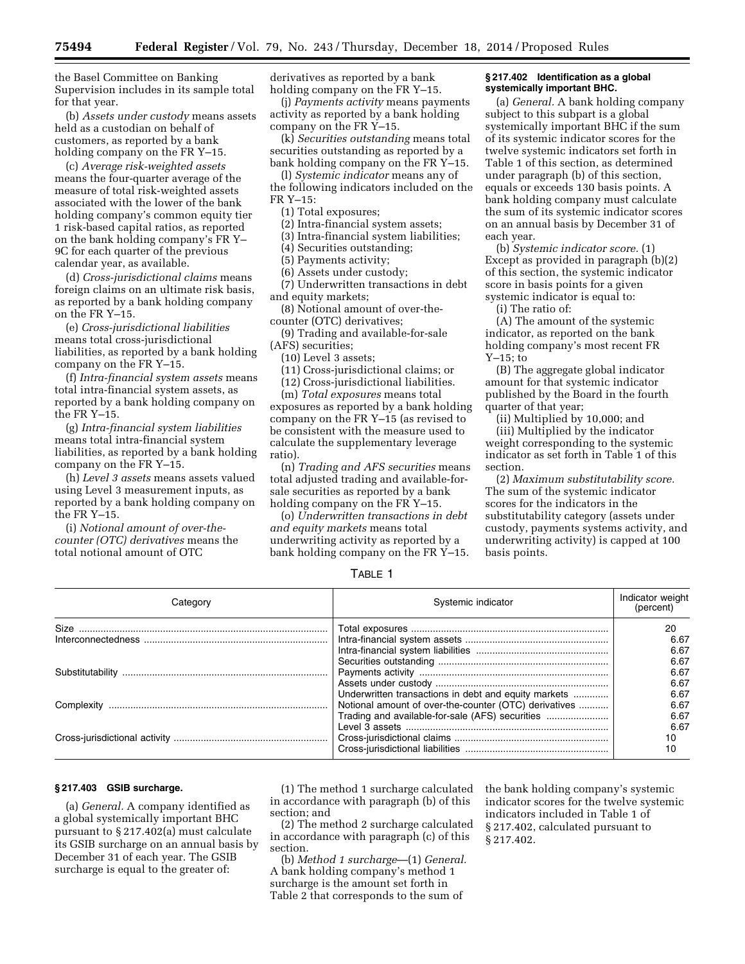the Basel Committee on Banking Supervision includes in its sample total for that year.

(b) *Assets under custody* means assets held as a custodian on behalf of customers, as reported by a bank holding company on the FR Y–15.

(c) *Average risk-weighted assets*  means the four-quarter average of the measure of total risk-weighted assets associated with the lower of the bank holding company's common equity tier 1 risk-based capital ratios, as reported on the bank holding company's FR Y– 9C for each quarter of the previous calendar year, as available.

(d) *Cross-jurisdictional claims* means foreign claims on an ultimate risk basis, as reported by a bank holding company on the FR Y–15.

(e) *Cross-jurisdictional liabilities*  means total cross-jurisdictional liabilities, as reported by a bank holding company on the FR Y–15.

(f) *Intra-financial system assets* means total intra-financial system assets, as reported by a bank holding company on the FR Y–15.

(g) *Intra-financial system liabilities*  means total intra-financial system liabilities, as reported by a bank holding company on the FR Y–15.

(h) *Level 3 assets* means assets valued using Level 3 measurement inputs, as reported by a bank holding company on the FR Y–15.

(i) *Notional amount of over-thecounter (OTC) derivatives* means the total notional amount of OTC

derivatives as reported by a bank holding company on the FR Y–15.

(j) *Payments activity* means payments activity as reported by a bank holding company on the FR Y–15.

(k) *Securities outstanding* means total securities outstanding as reported by a bank holding company on the FR Y–15.

(l) *Systemic indicator* means any of the following indicators included on the FR Y–15:

(1) Total exposures;

(2) Intra-financial system assets;

(3) Intra-financial system liabilities;

(4) Securities outstanding;

(5) Payments activity;

(6) Assets under custody;

(7) Underwritten transactions in debt and equity markets;

(8) Notional amount of over-thecounter (OTC) derivatives;

(9) Trading and available-for-sale (AFS) securities;

(10) Level 3 assets;

(11) Cross-jurisdictional claims; or

(12) Cross-jurisdictional liabilities.

(m) *Total exposures* means total exposures as reported by a bank holding company on the FR Y–15 (as revised to be consistent with the measure used to calculate the supplementary leverage ratio).

(n) *Trading and AFS securities* means total adjusted trading and available-forsale securities as reported by a bank holding company on the FR Y–15.

(o) *Underwritten transactions in debt and equity markets* means total underwriting activity as reported by a bank holding company on the FR  $\check{Y}$ –15.

#### **§ 217.402 Identification as a global systemically important BHC.**

(a) *General.* A bank holding company subject to this subpart is a global systemically important BHC if the sum of its systemic indicator scores for the twelve systemic indicators set forth in Table 1 of this section, as determined under paragraph (b) of this section, equals or exceeds 130 basis points. A bank holding company must calculate the sum of its systemic indicator scores on an annual basis by December 31 of each year.

(b) *Systemic indicator score.* (1) Except as provided in paragraph (b)(2) of this section, the systemic indicator score in basis points for a given systemic indicator is equal to:

(i) The ratio of:

(A) The amount of the systemic indicator, as reported on the bank holding company's most recent FR Y–15; to

(B) The aggregate global indicator amount for that systemic indicator published by the Board in the fourth quarter of that year;

(ii) Multiplied by 10,000; and (iii) Multiplied by the indicator weight corresponding to the systemic indicator as set forth in Table 1 of this section.

(2) *Maximum substitutability score.*  The sum of the systemic indicator scores for the indicators in the substitutability category (assets under custody, payments systems activity, and underwriting activity) is capped at 100 basis points.

TABLE 1

| Category | Systemic indicator                                    | Indicator weight<br>(percent) |
|----------|-------------------------------------------------------|-------------------------------|
|          |                                                       | 20                            |
|          |                                                       | 6.67                          |
|          |                                                       | 6.67                          |
|          |                                                       | 6.67                          |
|          |                                                       | 6.67                          |
|          |                                                       | 6.67                          |
|          | Underwritten transactions in debt and equity markets  | 6.67                          |
|          | Notional amount of over-the-counter (OTC) derivatives | 6.67                          |
|          | Trading and available-for-sale (AFS) securities       | 6.67                          |
|          |                                                       | 6.67                          |
|          |                                                       | 10                            |
|          |                                                       | 10                            |

# **§ 217.403 GSIB surcharge.**

(a) *General.* A company identified as a global systemically important BHC pursuant to § 217.402(a) must calculate its GSIB surcharge on an annual basis by December 31 of each year. The GSIB surcharge is equal to the greater of:

(1) The method 1 surcharge calculated in accordance with paragraph (b) of this section; and

(2) The method 2 surcharge calculated in accordance with paragraph (c) of this section.

(b) *Method 1 surcharge*—(1) *General.*  A bank holding company's method 1 surcharge is the amount set forth in Table 2 that corresponds to the sum of

the bank holding company's systemic indicator scores for the twelve systemic indicators included in Table 1 of § 217.402, calculated pursuant to § 217.402.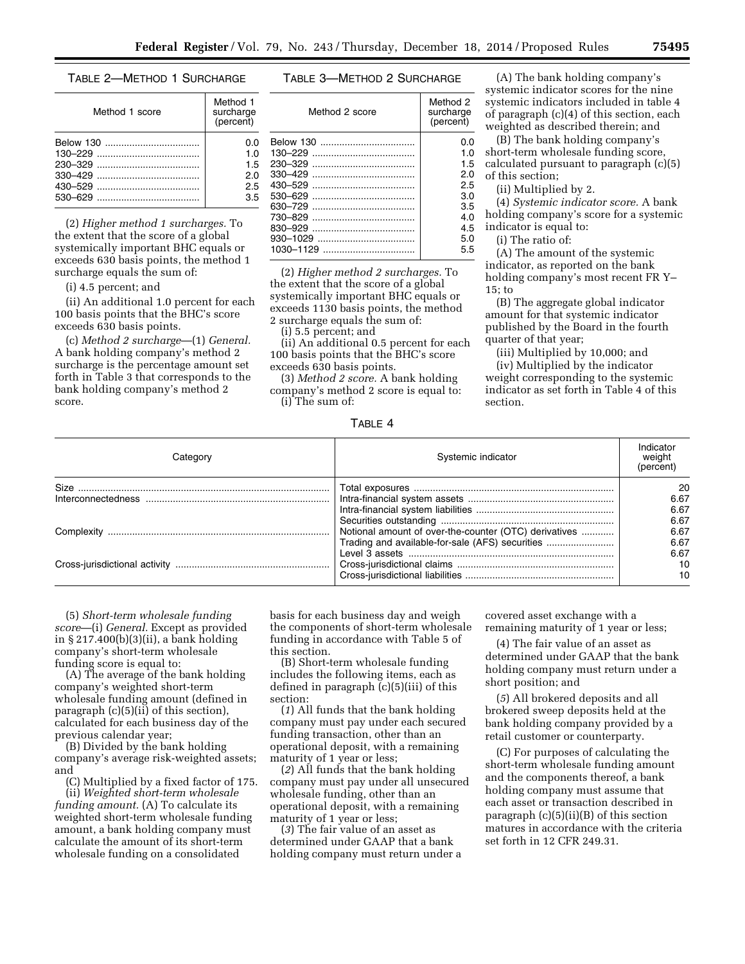#### TABLE 2—METHOD 1 SURCHARGE

| Method 1 score | Method 1<br>surcharge<br>(percent) |
|----------------|------------------------------------|
|                | 0.O                                |
|                | 1.0                                |
|                | 1.5                                |
|                | 2.0                                |
|                | 2.5                                |
|                | 3.5                                |

(2) *Higher method 1 surcharges.* To the extent that the score of a global systemically important BHC equals or exceeds 630 basis points, the method 1 surcharge equals the sum of:

(i) 4.5 percent; and

(ii) An additional 1.0 percent for each 100 basis points that the BHC's score exceeds 630 basis points.

(c) *Method 2 surcharge*—(1) *General.*  A bank holding company's method 2 surcharge is the percentage amount set forth in Table 3 that corresponds to the bank holding company's method 2 score.

# TABLE 3—METHOD 2 SURCHARGE

| Method 2 score | Method 2<br>surcharge<br>(percent) |  |
|----------------|------------------------------------|--|
| Below 130      | 0.O                                |  |
|                | 1.0                                |  |
|                | 1.5                                |  |
| 330-429        | 2.0                                |  |
|                | 25                                 |  |
| 530-629        | 3.0                                |  |
|                | 3.5                                |  |
| 730-829        | 4.0                                |  |
| 830-929        | 4.5                                |  |
|                | 5.0                                |  |
|                | 5.5                                |  |

(2) *Higher method 2 surcharges.* To the extent that the score of a global systemically important BHC equals or exceeds 1130 basis points, the method 2 surcharge equals the sum of:

(i) 5.5 percent; and

(ii) An additional 0.5 percent for each 100 basis points that the BHC's score exceeds 630 basis points.

(3) *Method 2 score.* A bank holding company's method 2 score is equal to: (i) The sum of:

TABLE 4

(A) The bank holding company's systemic indicator scores for the nine systemic indicators included in table 4 of paragraph (c)(4) of this section, each weighted as described therein; and

(B) The bank holding company's short-term wholesale funding score, calculated pursuant to paragraph (c)(5) of this section;

(ii) Multiplied by 2.

(4) *Systemic indicator score.* A bank holding company's score for a systemic indicator is equal to:

(i) The ratio of:

(A) The amount of the systemic indicator, as reported on the bank holding company's most recent FR Y– 15; to

(B) The aggregate global indicator amount for that systemic indicator published by the Board in the fourth quarter of that year;

(iii) Multiplied by 10,000; and

(iv) Multiplied by the indicator weight corresponding to the systemic indicator as set forth in Table 4 of this section.

| Category | Systemic indicator                                    | Indicator<br>weight<br>(percent) |
|----------|-------------------------------------------------------|----------------------------------|
|          |                                                       | 20                               |
|          |                                                       | 6.67                             |
|          |                                                       | 6.67                             |
|          |                                                       | 6.67                             |
|          | Notional amount of over-the-counter (OTC) derivatives | 6.67                             |
|          | Trading and available-for-sale (AFS) securities       | 6.67                             |
|          |                                                       | 6.67                             |
|          |                                                       | 10                               |
|          |                                                       | 10                               |

(5) *Short-term wholesale funding score*—(i) *General.* Except as provided in § 217.400(b)(3)(ii), a bank holding company's short-term wholesale funding score is equal to:

(A) The average of the bank holding company's weighted short-term wholesale funding amount (defined in paragraph (c)(5)(ii) of this section), calculated for each business day of the previous calendar year;

(B) Divided by the bank holding company's average risk-weighted assets; and

(C) Multiplied by a fixed factor of 175. (ii) *Weighted short-term wholesale funding amount.* (A) To calculate its weighted short-term wholesale funding amount, a bank holding company must calculate the amount of its short-term wholesale funding on a consolidated

basis for each business day and weigh the components of short-term wholesale funding in accordance with Table 5 of this section.

(B) Short-term wholesale funding includes the following items, each as defined in paragraph (c)(5)(iii) of this section:

(*1*) All funds that the bank holding company must pay under each secured funding transaction, other than an operational deposit, with a remaining maturity of 1 year or less;

(*2*) All funds that the bank holding company must pay under all unsecured wholesale funding, other than an operational deposit, with a remaining maturity of 1 year or less;

(*3*) The fair value of an asset as determined under GAAP that a bank holding company must return under a

covered asset exchange with a remaining maturity of 1 year or less;

(4) The fair value of an asset as determined under GAAP that the bank holding company must return under a short position; and

(*5*) All brokered deposits and all brokered sweep deposits held at the bank holding company provided by a retail customer or counterparty.

(C) For purposes of calculating the short-term wholesale funding amount and the components thereof, a bank holding company must assume that each asset or transaction described in paragraph  $(c)(5)(ii)(B)$  of this section matures in accordance with the criteria set forth in 12 CFR 249.31.